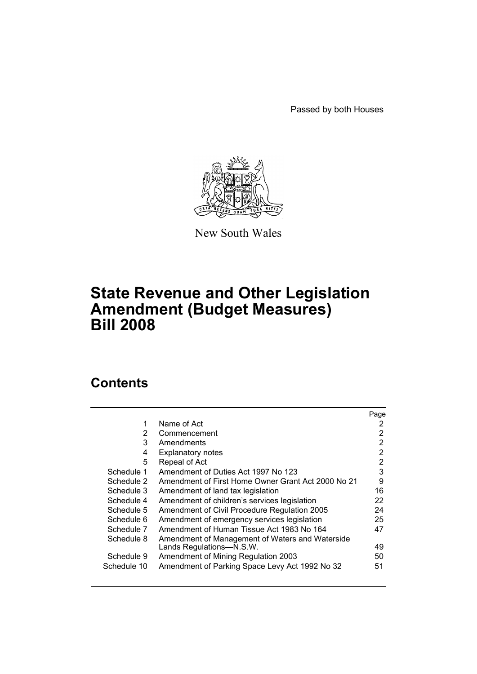Passed by both Houses



New South Wales

# **State Revenue and Other Legislation Amendment (Budget Measures) Bill 2008**

# **Contents**

|             |                                                    | Page |
|-------------|----------------------------------------------------|------|
| 1           | Name of Act                                        | 2    |
| 2           | Commencement                                       | 2    |
| 3           | Amendments                                         | 2    |
| 4           | <b>Explanatory notes</b>                           | 2    |
| 5           | Repeal of Act                                      | 2    |
| Schedule 1  | Amendment of Duties Act 1997 No 123                | 3    |
| Schedule 2  | Amendment of First Home Owner Grant Act 2000 No 21 | 9    |
| Schedule 3  | Amendment of land tax legislation                  | 16   |
| Schedule 4  | Amendment of children's services legislation       | 22   |
| Schedule 5  | Amendment of Civil Procedure Regulation 2005       | 24   |
| Schedule 6  | Amendment of emergency services legislation        | 25   |
| Schedule 7  | Amendment of Human Tissue Act 1983 No 164          | 47   |
| Schedule 8  | Amendment of Management of Waters and Waterside    |      |
|             | Lands Regulations-N.S.W.                           | 49   |
| Schedule 9  | Amendment of Mining Regulation 2003                | 50   |
| Schedule 10 | Amendment of Parking Space Levy Act 1992 No 32     | 51   |
|             |                                                    |      |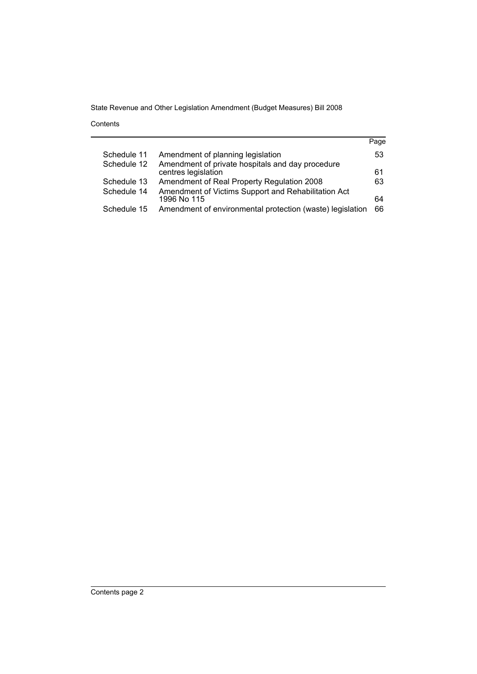Contents

| Page |
|------|
| 53   |
|      |
| 61   |
| 63   |
|      |
| 64   |
| 66   |
|      |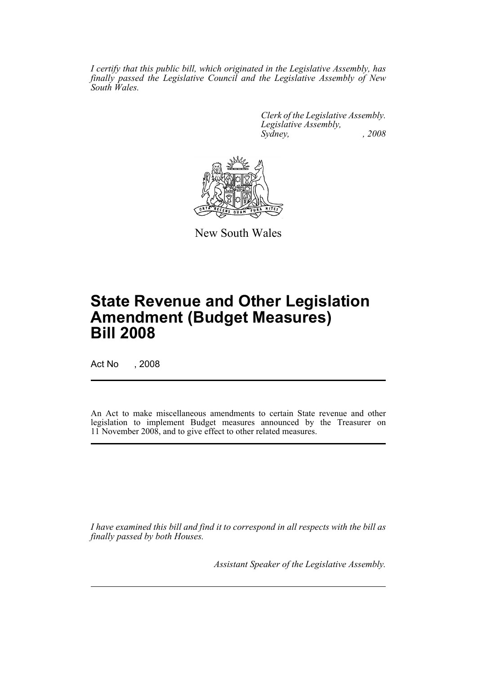*I certify that this public bill, which originated in the Legislative Assembly, has finally passed the Legislative Council and the Legislative Assembly of New South Wales.*

> *Clerk of the Legislative Assembly. Legislative Assembly, Sydney, , 2008*



New South Wales

# **State Revenue and Other Legislation Amendment (Budget Measures) Bill 2008**

Act No , 2008

An Act to make miscellaneous amendments to certain State revenue and other legislation to implement Budget measures announced by the Treasurer on 11 November 2008, and to give effect to other related measures.

*I have examined this bill and find it to correspond in all respects with the bill as finally passed by both Houses.*

*Assistant Speaker of the Legislative Assembly.*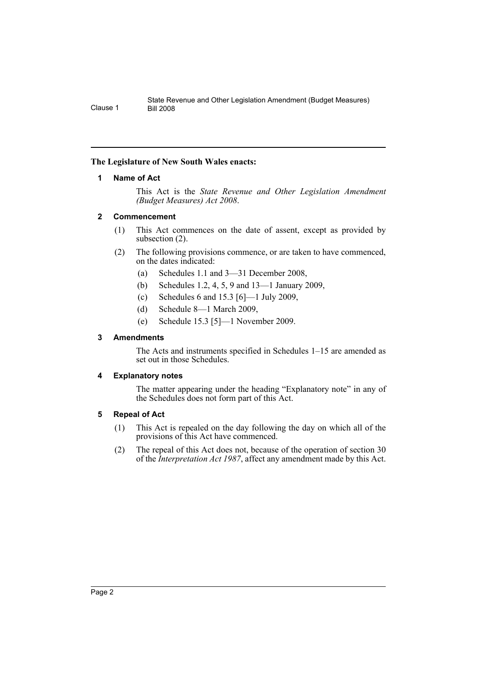### <span id="page-3-0"></span>**The Legislature of New South Wales enacts:**

### **1 Name of Act**

This Act is the *State Revenue and Other Legislation Amendment (Budget Measures) Act 2008*.

### <span id="page-3-1"></span>**2 Commencement**

- (1) This Act commences on the date of assent, except as provided by subsection (2).
- (2) The following provisions commence, or are taken to have commenced, on the dates indicated:
	- (a) Schedules 1.1 and 3—31 December 2008,
	- (b) Schedules 1.2, 4, 5, 9 and 13—1 January 2009,
	- (c) Schedules 6 and 15.3 [6]—1 July 2009,
	- (d) Schedule 8—1 March 2009,
	- (e) Schedule 15.3 [5]—1 November 2009.

### <span id="page-3-2"></span>**3 Amendments**

The Acts and instruments specified in Schedules 1–15 are amended as set out in those Schedules.

### <span id="page-3-3"></span>**4 Explanatory notes**

The matter appearing under the heading "Explanatory note" in any of the Schedules does not form part of this Act.

### <span id="page-3-4"></span>**5 Repeal of Act**

- (1) This Act is repealed on the day following the day on which all of the provisions of this Act have commenced.
- (2) The repeal of this Act does not, because of the operation of section 30 of the *Interpretation Act 1987*, affect any amendment made by this Act.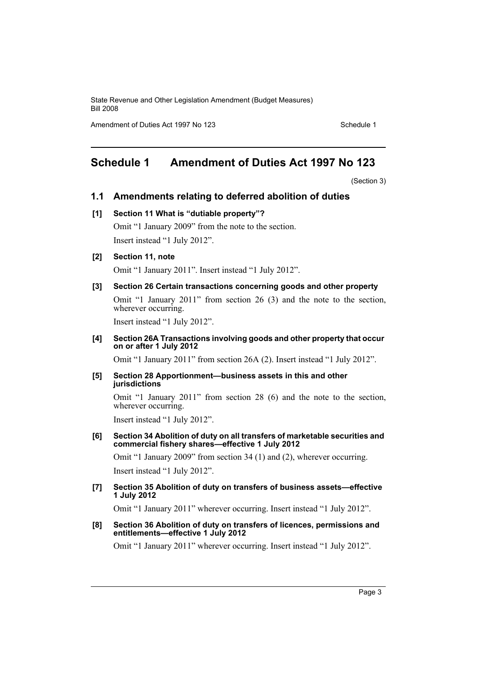Amendment of Duties Act 1997 No 123 Schedule 1

# <span id="page-4-0"></span>**Schedule 1 Amendment of Duties Act 1997 No 123**

(Section 3)

### **1.1 Amendments relating to deferred abolition of duties**

### **[1] Section 11 What is "dutiable property"?**

Omit "1 January 2009" from the note to the section. Insert instead "1 July 2012".

### **[2] Section 11, note**

Omit "1 January 2011". Insert instead "1 July 2012".

### **[3] Section 26 Certain transactions concerning goods and other property**

Omit "1 January 2011" from section 26 (3) and the note to the section, wherever occurring.

Insert instead "1 July 2012".

### **[4] Section 26A Transactions involving goods and other property that occur on or after 1 July 2012**

Omit "1 January 2011" from section 26A (2). Insert instead "1 July 2012".

#### **[5] Section 28 Apportionment—business assets in this and other jurisdictions**

Omit "1 January 2011" from section 28 (6) and the note to the section, wherever occurring.

Insert instead "1 July 2012".

#### **[6] Section 34 Abolition of duty on all transfers of marketable securities and commercial fishery shares—effective 1 July 2012**

Omit "1 January 2009" from section 34 (1) and (2), wherever occurring. Insert instead "1 July 2012".

### **[7] Section 35 Abolition of duty on transfers of business assets—effective 1 July 2012**

Omit "1 January 2011" wherever occurring. Insert instead "1 July 2012".

#### **[8] Section 36 Abolition of duty on transfers of licences, permissions and entitlements—effective 1 July 2012**

Omit "1 January 2011" wherever occurring. Insert instead "1 July 2012".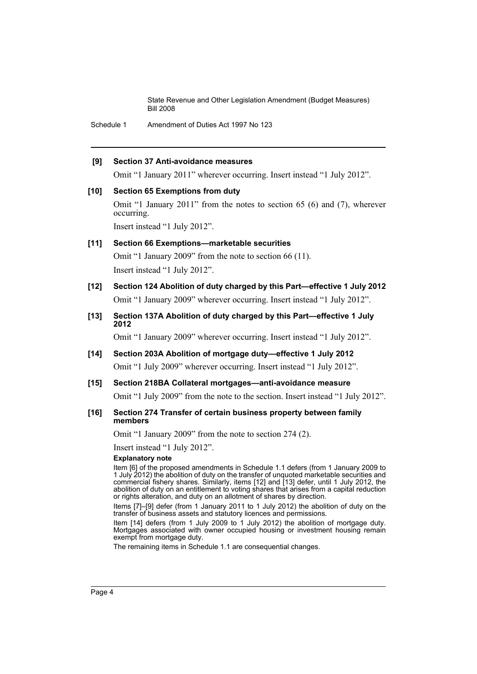Schedule 1 Amendment of Duties Act 1997 No 123

### **[9] Section 37 Anti-avoidance measures**

Omit "1 January 2011" wherever occurring. Insert instead "1 July 2012".

### **[10] Section 65 Exemptions from duty**

Omit "1 January 2011" from the notes to section 65 (6) and (7), wherever occurring.

Insert instead "1 July 2012".

### **[11] Section 66 Exemptions—marketable securities**

Omit "1 January 2009" from the note to section 66 (11). Insert instead "1 July 2012".

- **[12] Section 124 Abolition of duty charged by this Part—effective 1 July 2012** Omit "1 January 2009" wherever occurring. Insert instead "1 July 2012".
- **[13] Section 137A Abolition of duty charged by this Part—effective 1 July 2012**

Omit "1 January 2009" wherever occurring. Insert instead "1 July 2012".

**[14] Section 203A Abolition of mortgage duty—effective 1 July 2012** Omit "1 July 2009" wherever occurring. Insert instead "1 July 2012".

### **[15] Section 218BA Collateral mortgages—anti-avoidance measure** Omit "1 July 2009" from the note to the section. Insert instead "1 July 2012".

**[16] Section 274 Transfer of certain business property between family** 

**members**

Omit "1 January 2009" from the note to section 274 (2).

Insert instead "1 July 2012".

### **Explanatory note**

Item [6] of the proposed amendments in Schedule 1.1 defers (from 1 January 2009 to 1 July 2012) the abolition of duty on the transfer of unquoted marketable securities and commercial fishery shares. Similarly, items [12] and [13] defer, until 1 July 2012, the abolition of duty on an entitlement to voting shares that arises from a capital reduction or rights alteration, and duty on an allotment of shares by direction.

Items [7]–[9] defer (from 1 January 2011 to 1 July 2012) the abolition of duty on the transfer of business assets and statutory licences and permissions.

Item [14] defers (from 1 July 2009 to 1 July 2012) the abolition of mortgage duty. Mortgages associated with owner occupied housing or investment housing remain exempt from mortgage duty.

The remaining items in Schedule 1.1 are consequential changes.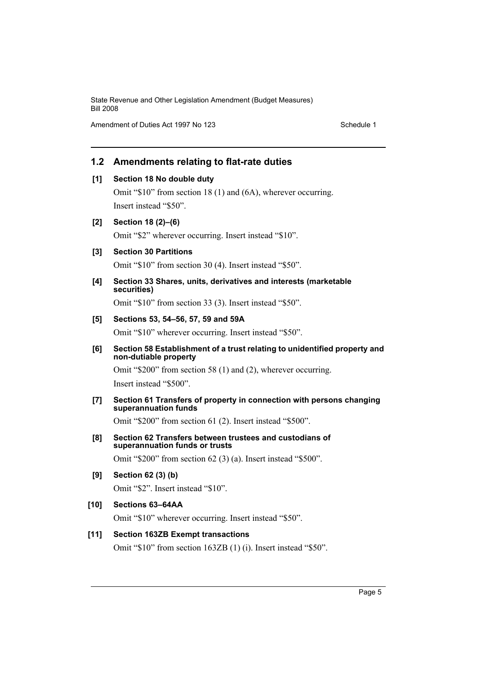Amendment of Duties Act 1997 No 123

### **1.2 Amendments relating to flat-rate duties**

### **[1] Section 18 No double duty**

Omit "\$10" from section 18 (1) and (6A), wherever occurring. Insert instead "\$50".

### **[2] Section 18 (2)–(6)**

Omit "\$2" wherever occurring. Insert instead "\$10".

### **[3] Section 30 Partitions**

Omit "\$10" from section 30 (4). Insert instead "\$50".

### **[4] Section 33 Shares, units, derivatives and interests (marketable securities)**

Omit "\$10" from section 33 (3). Insert instead "\$50".

### **[5] Sections 53, 54–56, 57, 59 and 59A**

Omit "\$10" wherever occurring. Insert instead "\$50".

### **[6] Section 58 Establishment of a trust relating to unidentified property and non-dutiable property**

Omit "\$200" from section 58 (1) and (2), wherever occurring. Insert instead "\$500".

### **[7] Section 61 Transfers of property in connection with persons changing superannuation funds**

Omit "\$200" from section 61 (2). Insert instead "\$500".

**[8] Section 62 Transfers between trustees and custodians of superannuation funds or trusts**

Omit "\$200" from section 62 (3) (a). Insert instead "\$500".

**[9] Section 62 (3) (b)**

Omit "\$2". Insert instead "\$10".

### **[10] Sections 63–64AA**

Omit "\$10" wherever occurring. Insert instead "\$50".

### **[11] Section 163ZB Exempt transactions**

Omit "\$10" from section 163ZB (1) (i). Insert instead "\$50".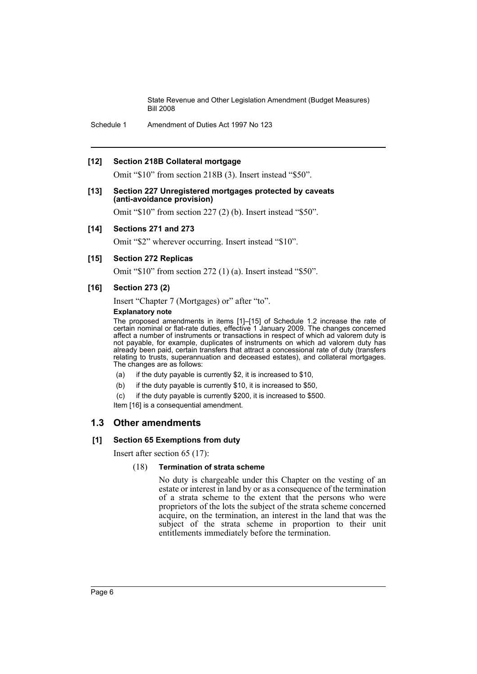Schedule 1 Amendment of Duties Act 1997 No 123

### **[12] Section 218B Collateral mortgage**

Omit "\$10" from section 218B (3). Insert instead "\$50".

### **[13] Section 227 Unregistered mortgages protected by caveats (anti-avoidance provision)**

Omit "\$10" from section 227 (2) (b). Insert instead "\$50".

### **[14] Sections 271 and 273**

Omit "\$2" wherever occurring. Insert instead "\$10".

### **[15] Section 272 Replicas**

Omit "\$10" from section 272 (1) (a). Insert instead "\$50".

### **[16] Section 273 (2)**

Insert "Chapter 7 (Mortgages) or" after "to".

### **Explanatory note**

The proposed amendments in items [1]–[15] of Schedule 1.2 increase the rate of certain nominal or flat-rate duties, effective 1 January 2009. The changes concerned affect a number of instruments or transactions in respect of which ad valorem duty is not payable, for example, duplicates of instruments on which ad valorem duty has already been paid, certain transfers that attract a concessional rate of duty (transfers relating to trusts, superannuation and deceased estates), and collateral mortgages. The changes are as follows:

- (a) if the duty payable is currently \$2, it is increased to \$10,
- (b) if the duty payable is currently \$10, it is increased to \$50,
- (c) if the duty payable is currently \$200, it is increased to \$500.
- Item [16] is a consequential amendment.

### **1.3 Other amendments**

### **[1] Section 65 Exemptions from duty**

Insert after section 65 (17):

### (18) **Termination of strata scheme**

No duty is chargeable under this Chapter on the vesting of an estate or interest in land by or as a consequence of the termination of a strata scheme to the extent that the persons who were proprietors of the lots the subject of the strata scheme concerned acquire, on the termination, an interest in the land that was the subject of the strata scheme in proportion to their unit entitlements immediately before the termination.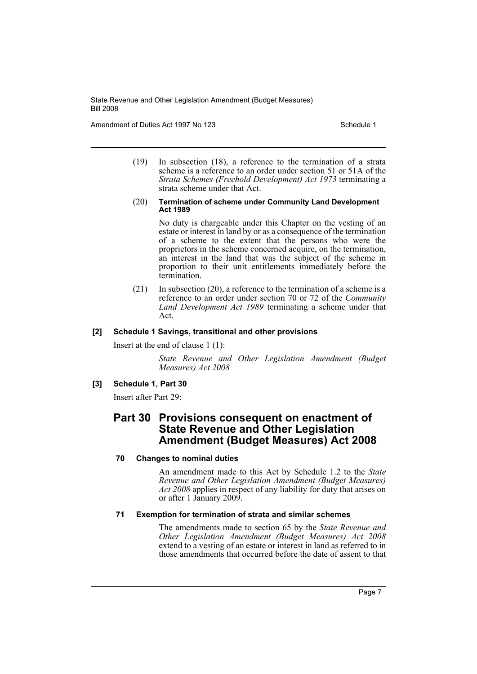Amendment of Duties Act 1997 No 123 Schedule 1

(19) In subsection (18), a reference to the termination of a strata scheme is a reference to an order under section 51 or 51A of the *Strata Schemes (Freehold Development) Act 1973* terminating a strata scheme under that Act.

#### (20) **Termination of scheme under Community Land Development Act 1989**

No duty is chargeable under this Chapter on the vesting of an estate or interest in land by or as a consequence of the termination of a scheme to the extent that the persons who were the proprietors in the scheme concerned acquire, on the termination, an interest in the land that was the subject of the scheme in proportion to their unit entitlements immediately before the termination.

(21) In subsection (20), a reference to the termination of a scheme is a reference to an order under section 70 or 72 of the *Community Land Development Act 1989* terminating a scheme under that Act.

### **[2] Schedule 1 Savings, transitional and other provisions**

Insert at the end of clause 1 (1):

*State Revenue and Other Legislation Amendment (Budget Measures) Act 2008*

### **[3] Schedule 1, Part 30**

Insert after Part 29:

## **Part 30 Provisions consequent on enactment of State Revenue and Other Legislation Amendment (Budget Measures) Act 2008**

### **70 Changes to nominal duties**

An amendment made to this Act by Schedule 1.2 to the *State Revenue and Other Legislation Amendment (Budget Measures) Act 2008* applies in respect of any liability for duty that arises on or after 1 January 2009.

### **71 Exemption for termination of strata and similar schemes**

The amendments made to section 65 by the *State Revenue and Other Legislation Amendment (Budget Measures) Act 2008* extend to a vesting of an estate or interest in land as referred to in those amendments that occurred before the date of assent to that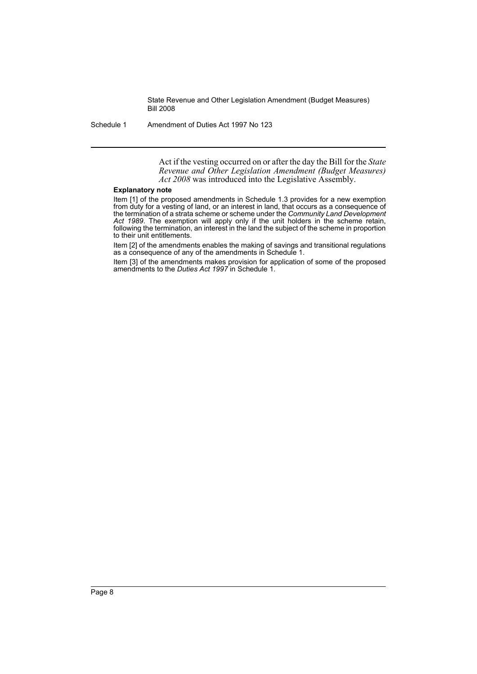Schedule 1 Amendment of Duties Act 1997 No 123

Act if the vesting occurred on or after the day the Bill for the *State Revenue and Other Legislation Amendment (Budget Measures) Act 2008* was introduced into the Legislative Assembly.

### **Explanatory note**

Item [1] of the proposed amendments in Schedule 1.3 provides for a new exemption from duty for a vesting of land, or an interest in land, that occurs as a consequence of the termination of a strata scheme or scheme under the *Community Land Development Act 1989*. The exemption will apply only if the unit holders in the scheme retain, following the termination, an interest in the land the subject of the scheme in proportion to their unit entitlements.

Item [2] of the amendments enables the making of savings and transitional regulations as a consequence of any of the amendments in Schedule 1.

Item [3] of the amendments makes provision for application of some of the proposed amendments to the *Duties Act 1997* in Schedule 1.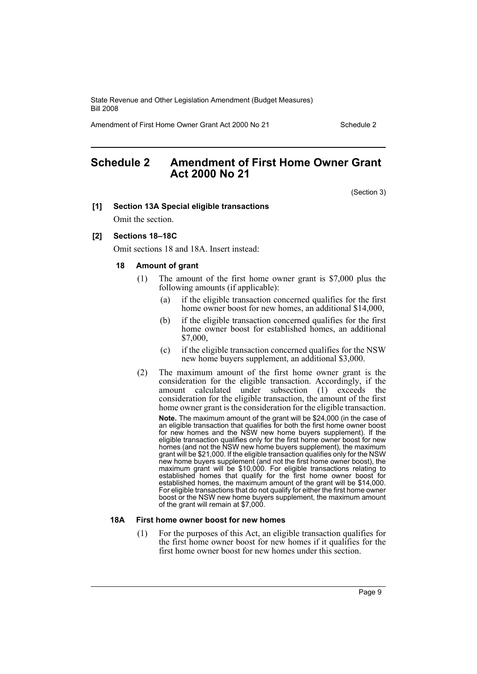Amendment of First Home Owner Grant Act 2000 No 21 Schedule 2

# <span id="page-10-0"></span>**Schedule 2 Amendment of First Home Owner Grant Act 2000 No 21**

(Section 3)

### **[1] Section 13A Special eligible transactions**

Omit the section.

### **[2] Sections 18–18C**

Omit sections 18 and 18A. Insert instead:

#### **18 Amount of grant**

- (1) The amount of the first home owner grant is \$7,000 plus the following amounts (if applicable):
	- (a) if the eligible transaction concerned qualifies for the first home owner boost for new homes, an additional \$14,000,
	- (b) if the eligible transaction concerned qualifies for the first home owner boost for established homes, an additional \$7,000,
	- (c) if the eligible transaction concerned qualifies for the NSW new home buyers supplement, an additional \$3,000.
- (2) The maximum amount of the first home owner grant is the consideration for the eligible transaction. Accordingly, if the amount calculated under subsection (1) exceeds the consideration for the eligible transaction, the amount of the first home owner grant is the consideration for the eligible transaction.

**Note.** The maximum amount of the grant will be \$24,000 (in the case of an eligible transaction that qualifies for both the first home owner boost for new homes and the NSW new home buyers supplement). If the eligible transaction qualifies only for the first home owner boost for new homes (and not the NSW new home buyers supplement), the maximum grant will be \$21,000. If the eligible transaction qualifies only for the NSW new home buyers supplement (and not the first home owner boost), the maximum grant will be \$10,000. For eligible transactions relating to established homes that qualify for the first home owner boost for established homes, the maximum amount of the grant will be \$14,000. For eligible transactions that do not qualify for either the first home owner boost or the NSW new home buyers supplement, the maximum amount of the grant will remain at \$7,000.

### **18A First home owner boost for new homes**

(1) For the purposes of this Act, an eligible transaction qualifies for the first home owner boost for new homes if it qualifies for the first home owner boost for new homes under this section.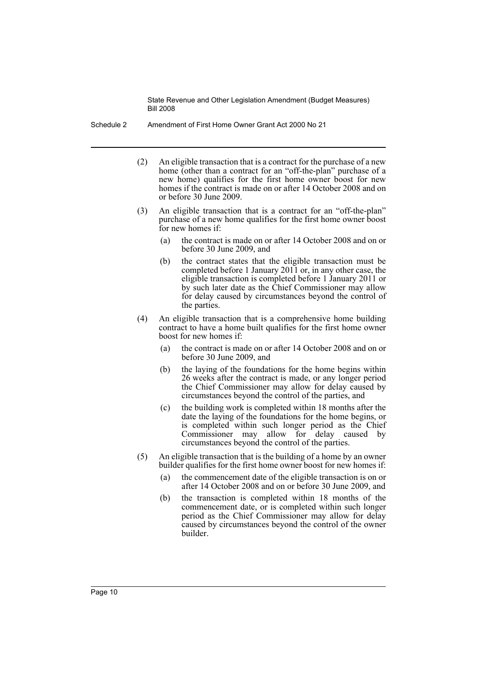- Schedule 2 Amendment of First Home Owner Grant Act 2000 No 21
	- (2) An eligible transaction that is a contract for the purchase of a new home (other than a contract for an "off-the-plan" purchase of a new home) qualifies for the first home owner boost for new homes if the contract is made on or after 14 October 2008 and on or before 30 June 2009.
	- (3) An eligible transaction that is a contract for an "off-the-plan" purchase of a new home qualifies for the first home owner boost for new homes if:
		- (a) the contract is made on or after 14 October 2008 and on or before 30 June 2009, and
		- (b) the contract states that the eligible transaction must be completed before 1 January 2011 or, in any other case, the eligible transaction is completed before 1 January 2011 or by such later date as the Chief Commissioner may allow for delay caused by circumstances beyond the control of the parties.
	- (4) An eligible transaction that is a comprehensive home building contract to have a home built qualifies for the first home owner boost for new homes if:
		- (a) the contract is made on or after 14 October 2008 and on or before 30 June 2009, and
		- (b) the laying of the foundations for the home begins within 26 weeks after the contract is made, or any longer period the Chief Commissioner may allow for delay caused by circumstances beyond the control of the parties, and
		- (c) the building work is completed within 18 months after the date the laying of the foundations for the home begins, or is completed within such longer period as the Chief Commissioner may allow for delay caused by circumstances beyond the control of the parties.
	- (5) An eligible transaction that is the building of a home by an owner builder qualifies for the first home owner boost for new homes if:
		- (a) the commencement date of the eligible transaction is on or after 14 October 2008 and on or before 30 June 2009, and
		- (b) the transaction is completed within 18 months of the commencement date, or is completed within such longer period as the Chief Commissioner may allow for delay caused by circumstances beyond the control of the owner builder.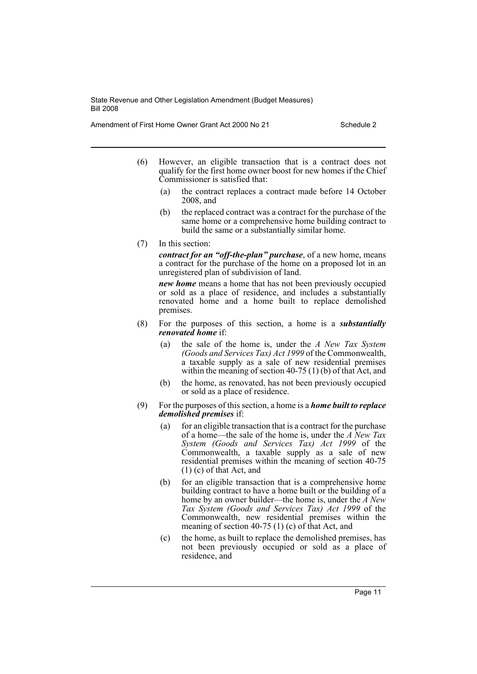Amendment of First Home Owner Grant Act 2000 No 21 Schedule 2

- (6) However, an eligible transaction that is a contract does not qualify for the first home owner boost for new homes if the Chief Commissioner is satisfied that:
	- (a) the contract replaces a contract made before 14 October 2008, and
	- (b) the replaced contract was a contract for the purchase of the same home or a comprehensive home building contract to build the same or a substantially similar home.
- (7) In this section:

*contract for an "off-the-plan" purchase*, of a new home, means a contract for the purchase of the home on a proposed lot in an unregistered plan of subdivision of land.

*new home* means a home that has not been previously occupied or sold as a place of residence, and includes a substantially renovated home and a home built to replace demolished premises.

- (8) For the purposes of this section, a home is a *substantially renovated home* if:
	- (a) the sale of the home is, under the *A New Tax System (Goods and Services Tax) Act 1999* of the Commonwealth, a taxable supply as a sale of new residential premises within the meaning of section 40-75 (1) (b) of that Act, and
	- (b) the home, as renovated, has not been previously occupied or sold as a place of residence.
- (9) For the purposes of this section, a home is a *home built to replace demolished premises* if:
	- (a) for an eligible transaction that is a contract for the purchase of a home—the sale of the home is, under the *A New Tax System (Goods and Services Tax) Act 1999* of the Commonwealth, a taxable supply as a sale of new residential premises within the meaning of section 40-75 (1) (c) of that Act, and
	- (b) for an eligible transaction that is a comprehensive home building contract to have a home built or the building of a home by an owner builder—the home is, under the *A New Tax System (Goods and Services Tax) Act 1999* of the Commonwealth, new residential premises within the meaning of section 40-75 (1) (c) of that Act, and
	- (c) the home, as built to replace the demolished premises, has not been previously occupied or sold as a place of residence, and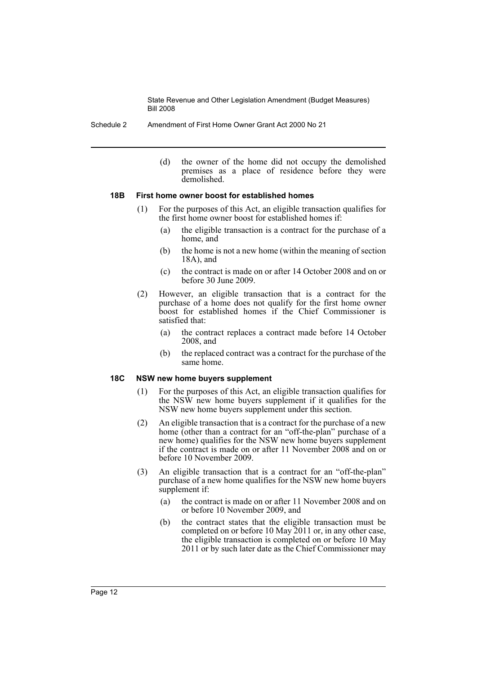Schedule 2 Amendment of First Home Owner Grant Act 2000 No 21

(d) the owner of the home did not occupy the demolished premises as a place of residence before they were demolished.

### **18B First home owner boost for established homes**

- (1) For the purposes of this Act, an eligible transaction qualifies for the first home owner boost for established homes if:
	- (a) the eligible transaction is a contract for the purchase of a home, and
	- (b) the home is not a new home (within the meaning of section 18A), and
	- (c) the contract is made on or after 14 October 2008 and on or before 30 June 2009.
- (2) However, an eligible transaction that is a contract for the purchase of a home does not qualify for the first home owner boost for established homes if the Chief Commissioner is satisfied that:
	- (a) the contract replaces a contract made before 14 October 2008, and
	- (b) the replaced contract was a contract for the purchase of the same home.

### **18C NSW new home buyers supplement**

- (1) For the purposes of this Act, an eligible transaction qualifies for the NSW new home buyers supplement if it qualifies for the NSW new home buyers supplement under this section.
- (2) An eligible transaction that is a contract for the purchase of a new home (other than a contract for an "off-the-plan" purchase of a new home) qualifies for the NSW new home buyers supplement if the contract is made on or after 11 November 2008 and on or before 10 November 2009.
- (3) An eligible transaction that is a contract for an "off-the-plan" purchase of a new home qualifies for the NSW new home buyers supplement if:
	- (a) the contract is made on or after 11 November 2008 and on or before 10 November 2009, and
	- (b) the contract states that the eligible transaction must be completed on or before 10 May 2011 or, in any other case, the eligible transaction is completed on or before 10 May 2011 or by such later date as the Chief Commissioner may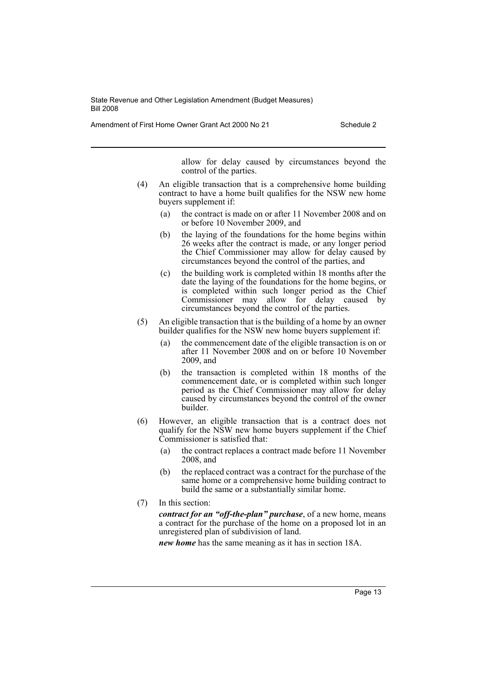Amendment of First Home Owner Grant Act 2000 No 21 Schedule 2

allow for delay caused by circumstances beyond the control of the parties.

- (4) An eligible transaction that is a comprehensive home building contract to have a home built qualifies for the NSW new home buyers supplement if:
	- (a) the contract is made on or after 11 November 2008 and on or before 10 November 2009, and
	- (b) the laying of the foundations for the home begins within 26 weeks after the contract is made, or any longer period the Chief Commissioner may allow for delay caused by circumstances beyond the control of the parties, and
	- (c) the building work is completed within 18 months after the date the laying of the foundations for the home begins, or is completed within such longer period as the Chief Commissioner may allow for delay caused by circumstances beyond the control of the parties.
- (5) An eligible transaction that is the building of a home by an owner builder qualifies for the NSW new home buyers supplement if:
	- (a) the commencement date of the eligible transaction is on or after 11 November 2008 and on or before 10 November 2009, and
	- (b) the transaction is completed within 18 months of the commencement date, or is completed within such longer period as the Chief Commissioner may allow for delay caused by circumstances beyond the control of the owner builder.
- (6) However, an eligible transaction that is a contract does not qualify for the NSW new home buyers supplement if the Chief Commissioner is satisfied that:
	- (a) the contract replaces a contract made before 11 November 2008, and
	- (b) the replaced contract was a contract for the purchase of the same home or a comprehensive home building contract to build the same or a substantially similar home.
- (7) In this section:

*contract for an "off-the-plan" purchase*, of a new home, means a contract for the purchase of the home on a proposed lot in an unregistered plan of subdivision of land.

*new home* has the same meaning as it has in section 18A.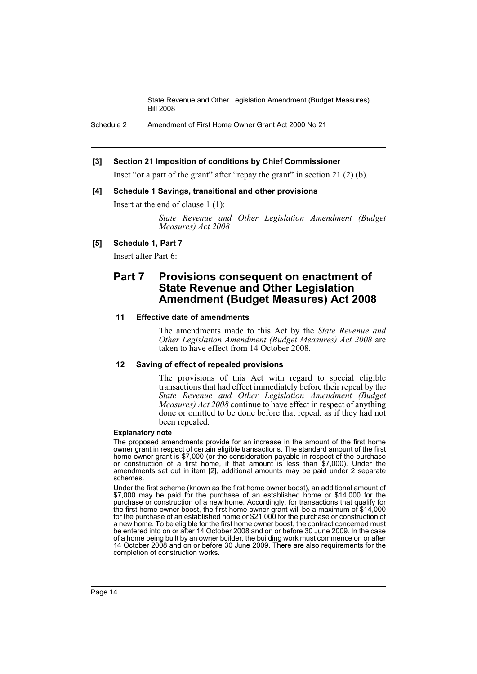Schedule 2 Amendment of First Home Owner Grant Act 2000 No 21

### **[3] Section 21 Imposition of conditions by Chief Commissioner**

Inset "or a part of the grant" after "repay the grant" in section 21 (2) (b).

### **[4] Schedule 1 Savings, transitional and other provisions**

Insert at the end of clause 1 (1):

*State Revenue and Other Legislation Amendment (Budget Measures) Act 2008*

### **[5] Schedule 1, Part 7**

Insert after Part 6:

## **Part 7 Provisions consequent on enactment of State Revenue and Other Legislation Amendment (Budget Measures) Act 2008**

### **11 Effective date of amendments**

The amendments made to this Act by the *State Revenue and Other Legislation Amendment (Budget Measures) Act 2008* are taken to have effect from 14 October 2008.

### **12 Saving of effect of repealed provisions**

The provisions of this Act with regard to special eligible transactions that had effect immediately before their repeal by the *State Revenue and Other Legislation Amendment (Budget Measures) Act 2008* continue to have effect in respect of anything done or omitted to be done before that repeal, as if they had not been repealed.

### **Explanatory note**

The proposed amendments provide for an increase in the amount of the first home owner grant in respect of certain eligible transactions. The standard amount of the first home owner grant is \$7,000 (or the consideration payable in respect of the purchase or construction of a first home, if that amount is less than \$7,000). Under the amendments set out in item [2], additional amounts may be paid under 2 separate schemes.

Under the first scheme (known as the first home owner boost), an additional amount of \$7,000 may be paid for the purchase of an established home or \$14,000 for the purchase or construction of a new home. Accordingly, for transactions that qualify for the first home owner boost, the first home owner grant will be a maximum of \$14,000 for the purchase of an established home or \$21,000 for the purchase or construction of a new home. To be eligible for the first home owner boost, the contract concerned must be entered into on or after 14 October 2008 and on or before 30 June 2009. In the case of a home being built by an owner builder, the building work must commence on or after 14 October 2008 and on or before 30 June 2009. There are also requirements for the completion of construction works.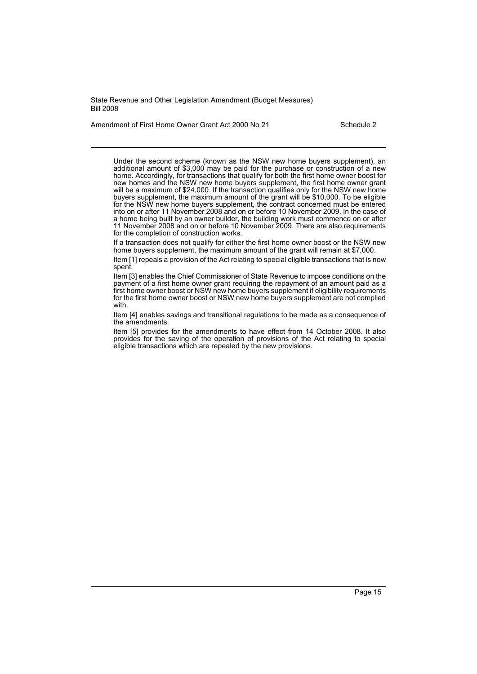Amendment of First Home Owner Grant Act 2000 No 21 Schedule 2

Under the second scheme (known as the NSW new home buyers supplement), an additional amount of \$3,000 may be paid for the purchase or construction of a new home. Accordingly, for transactions that qualify for both the first home owner boost for new homes and the NSW new home buyers supplement, the first home owner grant will be a maximum of \$24,000. If the transaction qualifies only for the NSW new home buyers supplement, the maximum amount of the grant will be \$10,000. To be eligible for the NSW new home buyers supplement, the contract concerned must be entered into on or after 11 November 2008 and on or before 10 November 2009. In the case of a home being built by an owner builder, the building work must commence on or after 11 November 2008 and on or before 10 November 2009. There are also requirements for the completion of construction works.

If a transaction does not qualify for either the first home owner boost or the NSW new home buyers supplement, the maximum amount of the grant will remain at \$7,000.

Item [1] repeals a provision of the Act relating to special eligible transactions that is now spent.

Item [3] enables the Chief Commissioner of State Revenue to impose conditions on the payment of a first home owner grant requiring the repayment of an amount paid as a first home owner boost or NSW new home buyers supplement if eligibility requirements for the first home owner boost or NSW new home buyers supplement are not complied with.

Item [4] enables savings and transitional regulations to be made as a consequence of the amendments.

Item [5] provides for the amendments to have effect from 14 October 2008. It also provides for the saving of the operation of provisions of the Act relating to special eligible transactions which are repealed by the new provisions.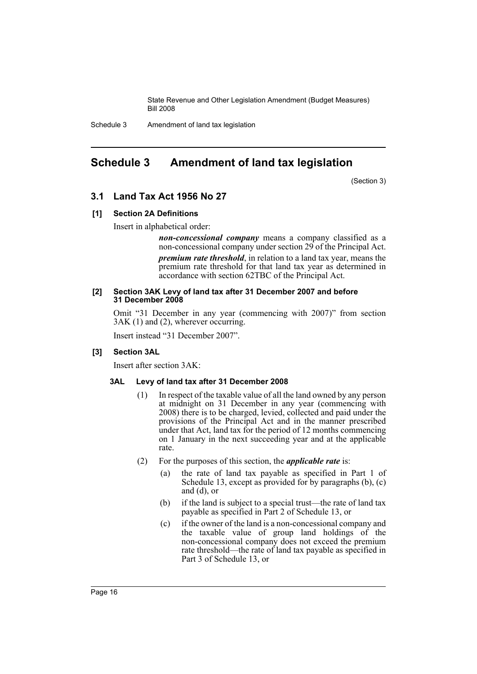Schedule 3 Amendment of land tax legislation

# <span id="page-17-0"></span>**Schedule 3 Amendment of land tax legislation**

(Section 3)

### **3.1 Land Tax Act 1956 No 27**

### **[1] Section 2A Definitions**

Insert in alphabetical order:

*non-concessional company* means a company classified as a non-concessional company under section 29 of the Principal Act. *premium rate threshold*, in relation to a land tax year, means the premium rate threshold for that land tax year as determined in accordance with section 62TBC of the Principal Act.

### **[2] Section 3AK Levy of land tax after 31 December 2007 and before 31 December 2008**

Omit "31 December in any year (commencing with 2007)" from section 3AK (1) and (2), wherever occurring.

Insert instead "31 December 2007".

### **[3] Section 3AL**

Insert after section 3AK:

### **3AL Levy of land tax after 31 December 2008**

- (1) In respect of the taxable value of all the land owned by any person at midnight on 31 December in any year (commencing with 2008) there is to be charged, levied, collected and paid under the provisions of the Principal Act and in the manner prescribed under that Act, land tax for the period of 12 months commencing on 1 January in the next succeeding year and at the applicable rate.
- (2) For the purposes of this section, the *applicable rate* is:
	- (a) the rate of land tax payable as specified in Part 1 of Schedule 13, except as provided for by paragraphs (b), (c) and (d), or
	- (b) if the land is subject to a special trust—the rate of land tax payable as specified in Part 2 of Schedule 13, or
	- (c) if the owner of the land is a non-concessional company and the taxable value of group land holdings of the non-concessional company does not exceed the premium rate threshold—the rate of land tax payable as specified in Part 3 of Schedule 13, or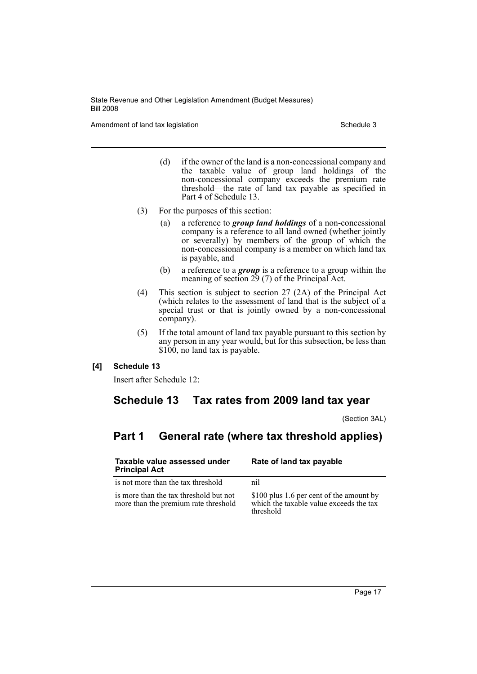Amendment of land tax legislation Schedule 3

- (d) if the owner of the land is a non-concessional company and the taxable value of group land holdings of the non-concessional company exceeds the premium rate threshold—the rate of land tax payable as specified in Part 4 of Schedule 13.
- (3) For the purposes of this section:
	- (a) a reference to *group land holdings* of a non-concessional company is a reference to all land owned (whether jointly or severally) by members of the group of which the non-concessional company is a member on which land tax is payable, and
	- (b) a reference to a *group* is a reference to a group within the meaning of section 29 (7) of the Principal Act.
- (4) This section is subject to section 27 (2A) of the Principal Act (which relates to the assessment of land that is the subject of a special trust or that is jointly owned by a non-concessional company).
- (5) If the total amount of land tax payable pursuant to this section by any person in any year would, but for this subsection, be less than \$100, no land tax is payable.

### **[4] Schedule 13**

Insert after Schedule 12:

# **Schedule 13 Tax rates from 2009 land tax year**

(Section 3AL)

# **Part 1 General rate (where tax threshold applies)**

| Taxable value assessed under<br><b>Principal Act</b>                           | Rate of land tax payable                                                                         |  |
|--------------------------------------------------------------------------------|--------------------------------------------------------------------------------------------------|--|
| is not more than the tax threshold                                             | nil                                                                                              |  |
| is more than the tax threshold but not<br>more than the premium rate threshold | \$100 plus 1.6 per cent of the amount by<br>which the taxable value exceeds the tax<br>threshold |  |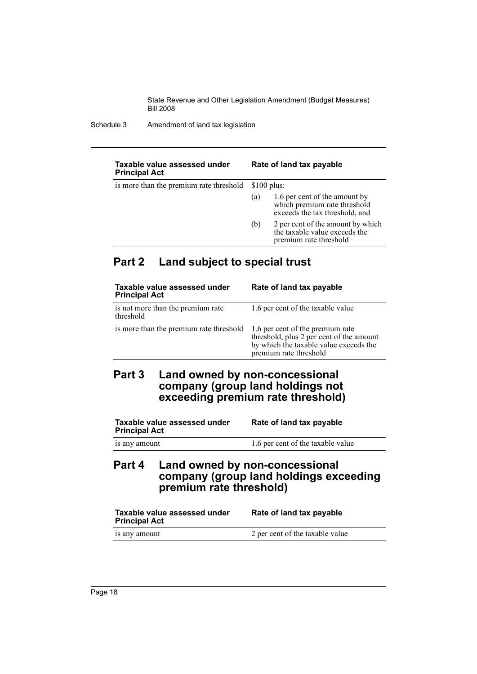Schedule 3 Amendment of land tax legislation

| Taxable value assessed under<br><b>Principal Act</b> |                      | Rate of land tax payable                                                                        |
|------------------------------------------------------|----------------------|-------------------------------------------------------------------------------------------------|
| is more than the premium rate threshold              | $$100 \text{ plus:}$ |                                                                                                 |
|                                                      | (a)                  | 1.6 per cent of the amount by<br>which premium rate threshold<br>exceeds the tax threshold, and |
|                                                      | (b)                  | 2 per cent of the amount by which<br>the taxable value exceeds the<br>premium rate threshold    |

# **Part 2 Land subject to special trust**

| Taxable value assessed under<br><b>Principal Act</b> | Rate of land tax payable                                                                                                                         |
|------------------------------------------------------|--------------------------------------------------------------------------------------------------------------------------------------------------|
| is not more than the premium rate<br>threshold       | 1.6 per cent of the taxable value                                                                                                                |
| is more than the premium rate threshold              | 1.6 per cent of the premium rate<br>threshold, plus 2 per cent of the amount<br>by which the taxable value exceeds the<br>premium rate threshold |

# **Part 3 Land owned by non-concessional company (group land holdings not exceeding premium rate threshold)**

| Taxable value assessed under<br><b>Principal Act</b> | Rate of land tax payable          |
|------------------------------------------------------|-----------------------------------|
| is any amount                                        | 1.6 per cent of the taxable value |

# **Part 4 Land owned by non-concessional company (group land holdings exceeding premium rate threshold)**

| Taxable value assessed under<br><b>Principal Act</b> | Rate of land tax payable        |
|------------------------------------------------------|---------------------------------|
| is any amount                                        | 2 per cent of the taxable value |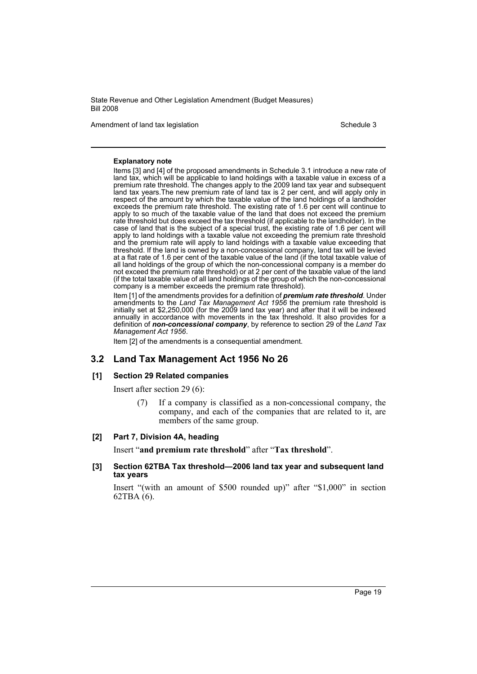Amendment of land tax legislation Schedule 3

#### **Explanatory note**

Items [3] and [4] of the proposed amendments in Schedule 3.1 introduce a new rate of land tax, which will be applicable to land holdings with a taxable value in excess of a premium rate threshold. The changes apply to the 2009 land tax year and subsequent land tax years.The new premium rate of land tax is 2 per cent, and will apply only in respect of the amount by which the taxable value of the land holdings of a landholder exceeds the premium rate threshold. The existing rate of 1.6 per cent will continue to apply to so much of the taxable value of the land that does not exceed the premium rate threshold but does exceed the tax threshold (if applicable to the landholder). In the case of land that is the subject of a special trust, the existing rate of 1.6 per cent will apply to land holdings with a taxable value not exceeding the premium rate threshold and the premium rate will apply to land holdings with a taxable value exceeding that threshold. If the land is owned by a non-concessional company, land tax will be levied at a flat rate of 1.6 per cent of the taxable value of the land (if the total taxable value of all land holdings of the group of which the non-concessional company is a member do not exceed the premium rate threshold) or at 2 per cent of the taxable value of the land (if the total taxable value of all land holdings of the group of which the non-concessional company is a member exceeds the premium rate threshold).

Item [1] of the amendments provides for a definition of *premium rate threshold*. Under amendments to the *Land Tax Management Act 1956* the premium rate threshold is initially set at \$2,250,000 (for the 2009 land tax year) and after that it will be indexed annually in accordance with movements in the tax threshold. It also provides for a definition of *non-concessional company*, by reference to section 29 of the *Land Tax Management Act 1956*.

Item [2] of the amendments is a consequential amendment.

### **3.2 Land Tax Management Act 1956 No 26**

### **[1] Section 29 Related companies**

Insert after section 29 (6):

(7) If a company is classified as a non-concessional company, the company, and each of the companies that are related to it, are members of the same group.

### **[2] Part 7, Division 4A, heading**

Insert "**and premium rate threshold**" after "**Tax threshold**".

### **[3] Section 62TBA Tax threshold—2006 land tax year and subsequent land tax years**

Insert "(with an amount of \$500 rounded up)" after "\$1,000" in section 62TBA (6).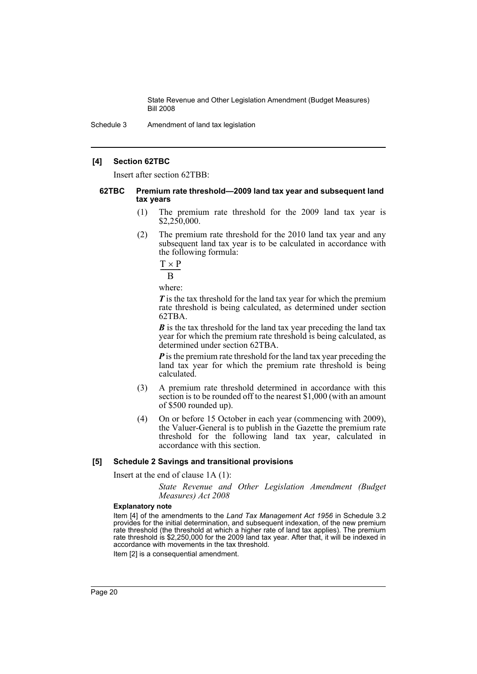Schedule 3 Amendment of land tax legislation

### **[4] Section 62TBC**

Insert after section 62TBB:

#### **62TBC Premium rate threshold—2009 land tax year and subsequent land tax years**

- (1) The premium rate threshold for the 2009 land tax year is  $$2,250,000.$
- (2) The premium rate threshold for the 2010 land tax year and any subsequent land tax year is to be calculated in accordance with the following formula:

$$
\frac{T\times P}{B}
$$

where:

*T* is the tax threshold for the land tax year for which the premium rate threshold is being calculated, as determined under section 62TBA.

*B* is the tax threshold for the land tax year preceding the land tax year for which the premium rate threshold is being calculated, as determined under section 62TBA.

**P** is the premium rate threshold for the land tax year preceding the land tax year for which the premium rate threshold is being calculated.

- (3) A premium rate threshold determined in accordance with this section is to be rounded off to the nearest \$1,000 (with an amount of \$500 rounded up).
- (4) On or before 15 October in each year (commencing with 2009), the Valuer-General is to publish in the Gazette the premium rate threshold for the following land tax year, calculated in accordance with this section.

### **[5] Schedule 2 Savings and transitional provisions**

Insert at the end of clause 1A (1):

*State Revenue and Other Legislation Amendment (Budget Measures) Act 2008*

#### **Explanatory note**

Item [4] of the amendments to the *Land Tax Management Act 1956* in Schedule 3.2 provides for the initial determination, and subsequent indexation, of the new premium rate threshold (the threshold at which a higher rate of land tax applies). The premium rate threshold is \$2,250,000 for the 2009 land tax year. After that, it will be indexed in accordance with movements in the tax threshold.

Item [2] is a consequential amendment.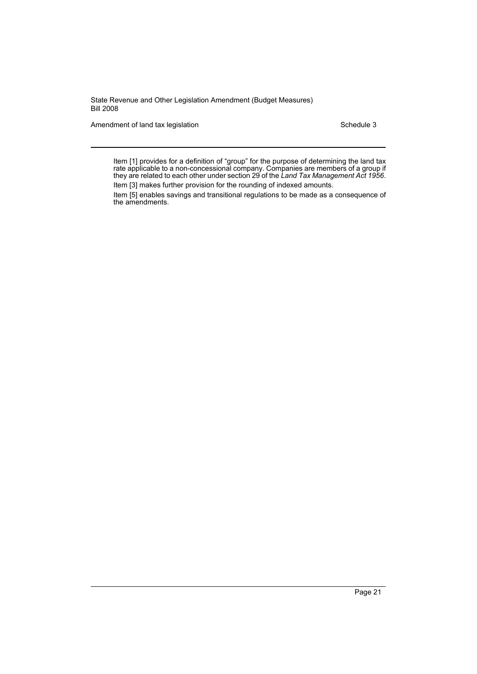Amendment of land tax legislation Schedule 3

Item [1] provides for a definition of "group" for the purpose of determining the land tax rate applicable to a non-concessional company. Companies are members of a group if they are related to each other under section 29 of the *Land Tax Management Act 1956*. Item [3] makes further provision for the rounding of indexed amounts.

Item [5] enables savings and transitional regulations to be made as a consequence of

the amendments.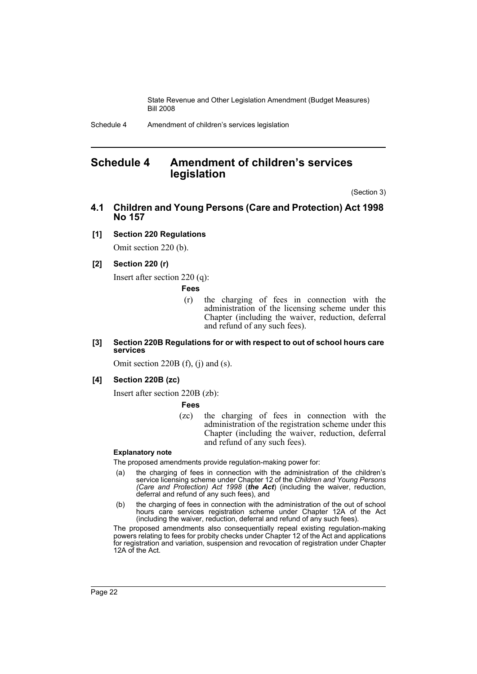# <span id="page-23-0"></span>**Schedule 4 Amendment of children's services legislation**

(Section 3)

**4.1 Children and Young Persons (Care and Protection) Act 1998 No 157**

### **[1] Section 220 Regulations**

Omit section 220 (b).

### **[2] Section 220 (r)**

Insert after section 220 (q):

**Fees**

(r) the charging of fees in connection with the administration of the licensing scheme under this Chapter (including the waiver, reduction, deferral and refund of any such fees).

### **[3] Section 220B Regulations for or with respect to out of school hours care services**

Omit section 220B (f), (j) and (s).

### **[4] Section 220B (zc)**

Insert after section 220B (zb):

**Fees**

(zc) the charging of fees in connection with the administration of the registration scheme under this Chapter (including the waiver, reduction, deferral and refund of any such fees).

### **Explanatory note**

The proposed amendments provide regulation-making power for:

- (a) the charging of fees in connection with the administration of the children's service licensing scheme under Chapter 12 of the *Children and Young Persons (Care and Protection) Act 1998* (*the Act*) (including the waiver, reduction, deferral and refund of any such fees), and
- (b) the charging of fees in connection with the administration of the out of school hours care services registration scheme under Chapter 12A of the Act (including the waiver, reduction, deferral and refund of any such fees).

The proposed amendments also consequentially repeal existing regulation-making powers relating to fees for probity checks under Chapter 12 of the Act and applications for registration and variation, suspension and revocation of registration under Chapter 12A of the Act.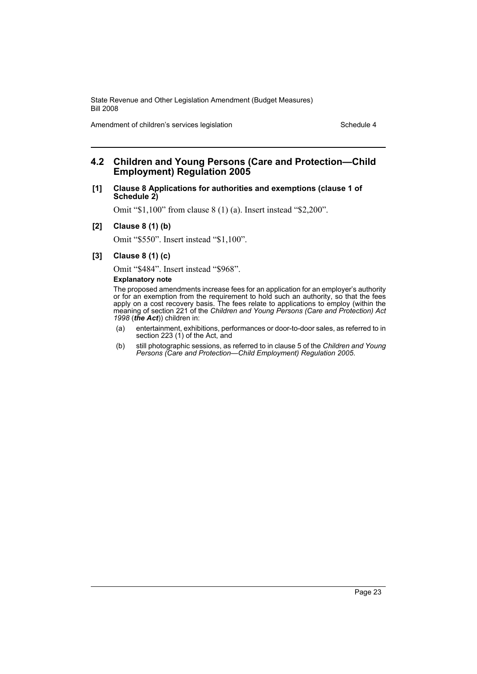Amendment of children's services legislation Schedule 4

### **4.2 Children and Young Persons (Care and Protection—Child Employment) Regulation 2005**

### **[1] Clause 8 Applications for authorities and exemptions (clause 1 of Schedule 2)**

Omit "\$1,100" from clause 8 (1) (a). Insert instead "\$2,200".

#### **[2] Clause 8 (1) (b)**

Omit "\$550". Insert instead "\$1,100".

### **[3] Clause 8 (1) (c)**

Omit "\$484". Insert instead "\$968".

#### **Explanatory note**

The proposed amendments increase fees for an application for an employer's authority or for an exemption from the requirement to hold such an authority, so that the fees apply on a cost recovery basis. The fees relate to applications to employ (within the meaning of section 221 of the *Children and Young Persons (Care and Protection) Act 1998* (*the Act*)) children in:

- (a) entertainment, exhibitions, performances or door-to-door sales, as referred to in section 223 (1) of the Act, and
- (b) still photographic sessions, as referred to in clause 5 of the *Children and Young Persons (Care and Protection—Child Employment) Regulation 2005*.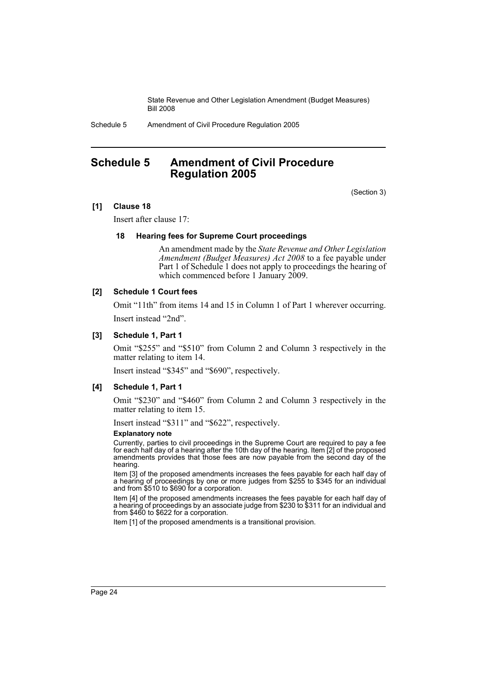Schedule 5 Amendment of Civil Procedure Regulation 2005

# <span id="page-25-0"></span>**Schedule 5 Amendment of Civil Procedure Regulation 2005**

(Section 3)

### **[1] Clause 18**

Insert after clause 17:

### **18 Hearing fees for Supreme Court proceedings**

An amendment made by the *State Revenue and Other Legislation Amendment (Budget Measures) Act 2008* to a fee payable under Part 1 of Schedule 1 does not apply to proceedings the hearing of which commenced before 1 January 2009.

### **[2] Schedule 1 Court fees**

Omit "11th" from items 14 and 15 in Column 1 of Part 1 wherever occurring. Insert instead "2nd".

### **[3] Schedule 1, Part 1**

Omit "\$255" and "\$510" from Column 2 and Column 3 respectively in the matter relating to item 14.

Insert instead "\$345" and "\$690", respectively.

### **[4] Schedule 1, Part 1**

Omit "\$230" and "\$460" from Column 2 and Column 3 respectively in the matter relating to item 15.

Insert instead "\$311" and "\$622", respectively.

#### **Explanatory note**

Currently, parties to civil proceedings in the Supreme Court are required to pay a fee for each half day of a hearing after the 10th day of the hearing. Item [2] of the proposed amendments provides that those fees are now payable from the second day of the hearing.

Item [3] of the proposed amendments increases the fees payable for each half day of a hearing of proceedings by one or more judges from \$255 to \$345 for an individual and from \$510 to \$690 for a corporation.

Item [4] of the proposed amendments increases the fees payable for each half day of a hearing of proceedings by an associate judge from \$230 to \$311 for an individual and from \$460 to \$622 for a corporation.

Item [1] of the proposed amendments is a transitional provision.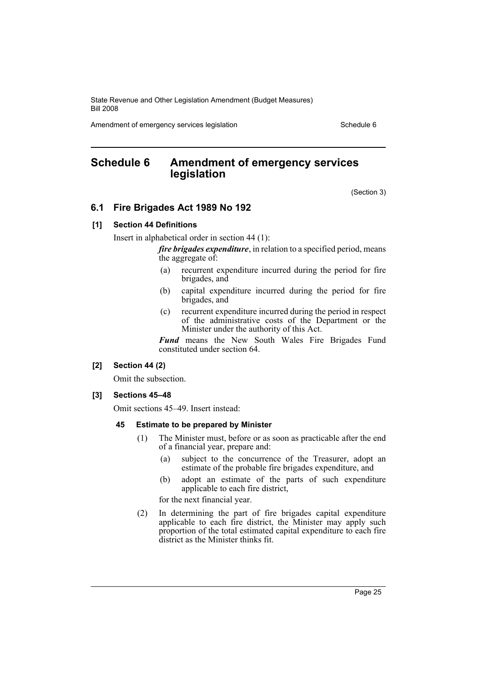Amendment of emergency services legislation Schedule 6

# <span id="page-26-0"></span>**Schedule 6 Amendment of emergency services legislation**

(Section 3)

### **6.1 Fire Brigades Act 1989 No 192**

### **[1] Section 44 Definitions**

Insert in alphabetical order in section 44 (1):

*fire brigades expenditure*, in relation to a specified period, means the aggregate of:

- (a) recurrent expenditure incurred during the period for fire brigades, and
- (b) capital expenditure incurred during the period for fire brigades, and
- (c) recurrent expenditure incurred during the period in respect of the administrative costs of the Department or the Minister under the authority of this Act.

Fund means the New South Wales Fire Brigades Fund constituted under section 64.

### **[2] Section 44 (2)**

Omit the subsection.

### **[3] Sections 45–48**

Omit sections 45–49. Insert instead:

### **45 Estimate to be prepared by Minister**

- (1) The Minister must, before or as soon as practicable after the end of a financial year, prepare and:
	- (a) subject to the concurrence of the Treasurer, adopt an estimate of the probable fire brigades expenditure, and
	- (b) adopt an estimate of the parts of such expenditure applicable to each fire district,

for the next financial year.

(2) In determining the part of fire brigades capital expenditure applicable to each fire district, the Minister may apply such proportion of the total estimated capital expenditure to each fire district as the Minister thinks fit.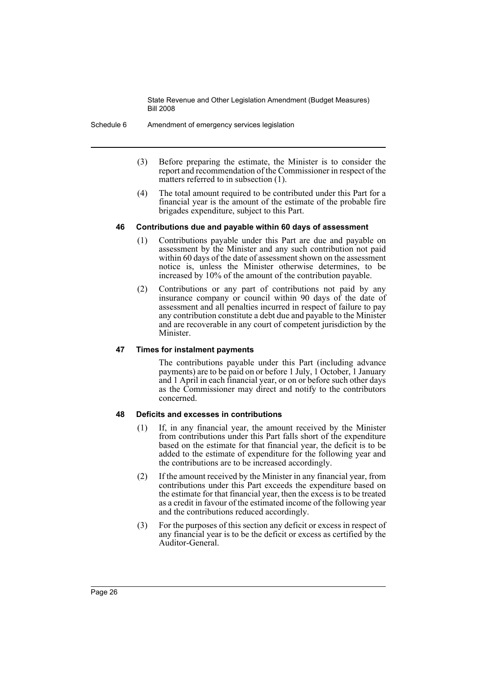Schedule 6 Amendment of emergency services legislation

- (3) Before preparing the estimate, the Minister is to consider the report and recommendation of the Commissioner in respect of the matters referred to in subsection (1).
- (4) The total amount required to be contributed under this Part for a financial year is the amount of the estimate of the probable fire brigades expenditure, subject to this Part.

### **46 Contributions due and payable within 60 days of assessment**

- (1) Contributions payable under this Part are due and payable on assessment by the Minister and any such contribution not paid within 60 days of the date of assessment shown on the assessment notice is, unless the Minister otherwise determines, to be increased by 10% of the amount of the contribution payable.
- (2) Contributions or any part of contributions not paid by any insurance company or council within 90 days of the date of assessment and all penalties incurred in respect of failure to pay any contribution constitute a debt due and payable to the Minister and are recoverable in any court of competent jurisdiction by the Minister.

### **47 Times for instalment payments**

The contributions payable under this Part (including advance payments) are to be paid on or before 1 July, 1 October, 1 January and 1 April in each financial year, or on or before such other days as the Commissioner may direct and notify to the contributors concerned.

### **48 Deficits and excesses in contributions**

- (1) If, in any financial year, the amount received by the Minister from contributions under this Part falls short of the expenditure based on the estimate for that financial year, the deficit is to be added to the estimate of expenditure for the following year and the contributions are to be increased accordingly.
- (2) If the amount received by the Minister in any financial year, from contributions under this Part exceeds the expenditure based on the estimate for that financial year, then the excess is to be treated as a credit in favour of the estimated income of the following year and the contributions reduced accordingly.
- (3) For the purposes of this section any deficit or excess in respect of any financial year is to be the deficit or excess as certified by the Auditor-General.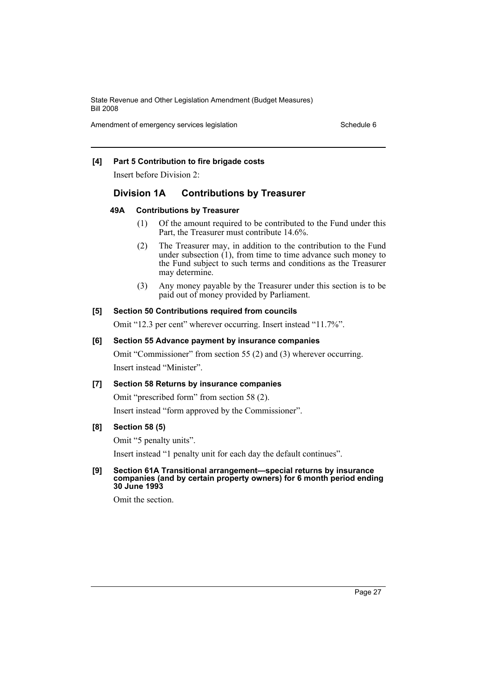Amendment of emergency services legislation Schedule 6

### **[4] Part 5 Contribution to fire brigade costs**

Insert before Division 2:

### **Division 1A Contributions by Treasurer**

### **49A Contributions by Treasurer**

- (1) Of the amount required to be contributed to the Fund under this Part, the Treasurer must contribute 14.6%.
- (2) The Treasurer may, in addition to the contribution to the Fund under subsection  $(1)$ , from time to time advance such money to the Fund subject to such terms and conditions as the Treasurer may determine.
- (3) Any money payable by the Treasurer under this section is to be paid out of money provided by Parliament.

### **[5] Section 50 Contributions required from councils**

Omit "12.3 per cent" wherever occurring. Insert instead "11.7%".

### **[6] Section 55 Advance payment by insurance companies**

Omit "Commissioner" from section 55 (2) and (3) wherever occurring. Insert instead "Minister".

### **[7] Section 58 Returns by insurance companies**

Omit "prescribed form" from section 58 (2).

Insert instead "form approved by the Commissioner".

### **[8] Section 58 (5)**

Omit "5 penalty units".

Insert instead "1 penalty unit for each day the default continues".

### **[9] Section 61A Transitional arrangement—special returns by insurance companies (and by certain property owners) for 6 month period ending 30 June 1993**

Omit the section.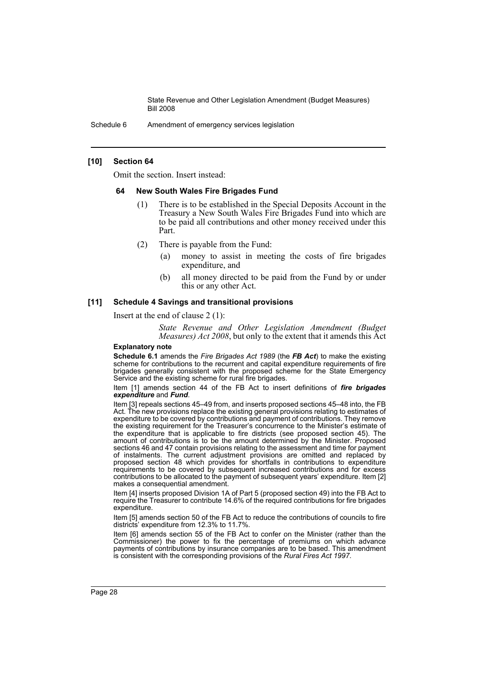Schedule 6 Amendment of emergency services legislation

### **[10] Section 64**

Omit the section. Insert instead:

### **64 New South Wales Fire Brigades Fund**

- (1) There is to be established in the Special Deposits Account in the Treasury a New South Wales Fire Brigades Fund into which are to be paid all contributions and other money received under this Part.
- (2) There is payable from the Fund:
	- (a) money to assist in meeting the costs of fire brigades expenditure, and
	- (b) all money directed to be paid from the Fund by or under this or any other Act.

### **[11] Schedule 4 Savings and transitional provisions**

Insert at the end of clause 2 (1):

*State Revenue and Other Legislation Amendment (Budget Measures) Act 2008*, but only to the extent that it amends this Act

### **Explanatory note**

**Schedule 6.1** amends the *Fire Brigades Act 1989* (the *FB Act*) to make the existing scheme for contributions to the recurrent and capital expenditure requirements of fire brigades generally consistent with the proposed scheme for the State Emergency Service and the existing scheme for rural fire brigades.

Item [1] amends section 44 of the FB Act to insert definitions of *fire brigades expenditure* and *Fund*.

Item [3] repeals sections 45–49 from, and inserts proposed sections 45–48 into, the FB Act. The new provisions replace the existing general provisions relating to estimates of expenditure to be covered by contributions and payment of contributions. They remove the existing requirement for the Treasurer's concurrence to the Minister's estimate of the expenditure that is applicable to fire districts (see proposed section 45). The amount of contributions is to be the amount determined by the Minister. Proposed sections 46 and 47 contain provisions relating to the assessment and time for payment of instalments. The current adjustment provisions are omitted and replaced by proposed section 48 which provides for shortfalls in contributions to expenditure requirements to be covered by subsequent increased contributions and for excess contributions to be allocated to the payment of subsequent years' expenditure. Item [2] makes a consequential amendment.

Item [4] inserts proposed Division 1A of Part 5 (proposed section 49) into the FB Act to require the Treasurer to contribute 14.6% of the required contributions for fire brigades expenditure.

Item [5] amends section 50 of the FB Act to reduce the contributions of councils to fire districts' expenditure from 12.3% to 11.7%.

Item [6] amends section 55 of the FB Act to confer on the Minister (rather than the Commissioner) the power to fix the percentage of premiums on which advance payments of contributions by insurance companies are to be based. This amendment is consistent with the corresponding provisions of the *Rural Fires Act 1997*.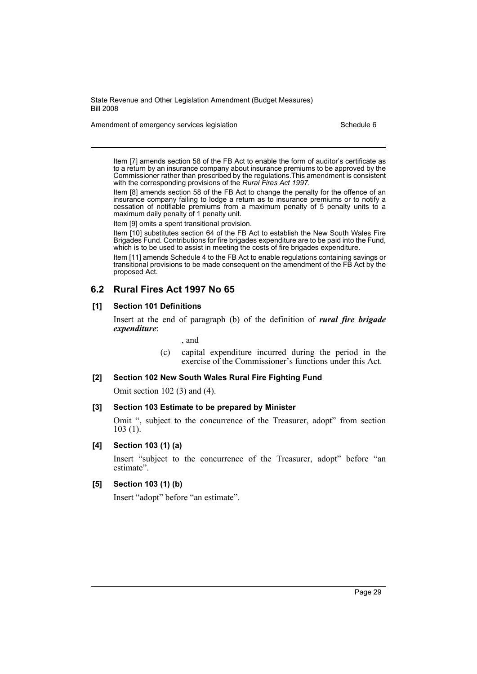Amendment of emergency services legislation Schedule 6

Item [7] amends section 58 of the FB Act to enable the form of auditor's certificate as to a return by an insurance company about insurance premiums to be approved by the Commissioner rather than prescribed by the regulations.This amendment is consistent with the corresponding provisions of the *Rural Fires Act 1997*.

Item [8] amends section 58 of the FB Act to change the penalty for the offence of an insurance company failing to lodge a return as to insurance premiums or to notify a cessation of notifiable premiums from a maximum penalty of 5 penalty units to a maximum daily penalty of 1 penalty unit.

Item [9] omits a spent transitional provision.

Item [10] substitutes section 64 of the FB Act to establish the New South Wales Fire Brigades Fund. Contributions for fire brigades expenditure are to be paid into the Fund, which is to be used to assist in meeting the costs of fire brigades expenditure.

Item [11] amends Schedule 4 to the FB Act to enable regulations containing savings or transitional provisions to be made consequent on the amendment of the FB Act by the proposed Act.

## **6.2 Rural Fires Act 1997 No 65**

### **[1] Section 101 Definitions**

Insert at the end of paragraph (b) of the definition of *rural fire brigade expenditure*:

, and

(c) capital expenditure incurred during the period in the exercise of the Commissioner's functions under this Act.

### **[2] Section 102 New South Wales Rural Fire Fighting Fund**

Omit section 102 (3) and (4).

### **[3] Section 103 Estimate to be prepared by Minister**

Omit ", subject to the concurrence of the Treasurer, adopt" from section 103 (1).

### **[4] Section 103 (1) (a)**

Insert "subject to the concurrence of the Treasurer, adopt" before "an estimate".

### **[5] Section 103 (1) (b)**

Insert "adopt" before "an estimate".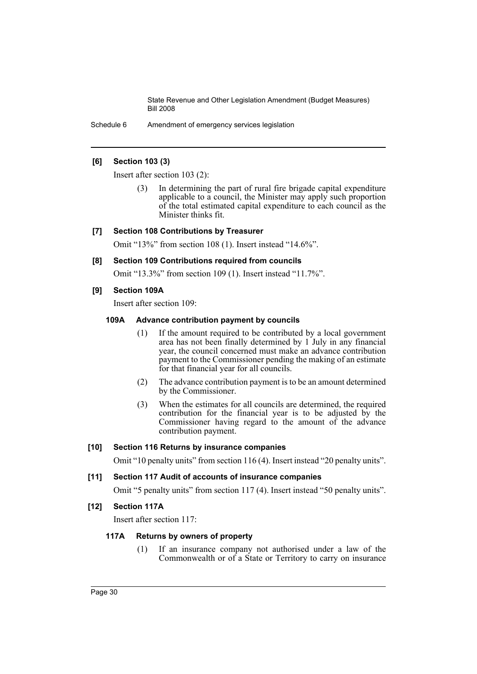Schedule 6 Amendment of emergency services legislation

### **[6] Section 103 (3)**

Insert after section 103 (2):

In determining the part of rural fire brigade capital expenditure applicable to a council, the Minister may apply such proportion of the total estimated capital expenditure to each council as the Minister thinks fit.

### **[7] Section 108 Contributions by Treasurer**

Omit "13%" from section 108 (1). Insert instead "14.6%".

### **[8] Section 109 Contributions required from councils**

Omit "13.3%" from section 109 (1). Insert instead "11.7%".

### **[9] Section 109A**

Insert after section 109:

### **109A Advance contribution payment by councils**

- (1) If the amount required to be contributed by a local government area has not been finally determined by 1 July in any financial year, the council concerned must make an advance contribution payment to the Commissioner pending the making of an estimate for that financial year for all councils.
- (2) The advance contribution payment is to be an amount determined by the Commissioner.
- (3) When the estimates for all councils are determined, the required contribution for the financial year is to be adjusted by the Commissioner having regard to the amount of the advance contribution payment.

### **[10] Section 116 Returns by insurance companies**

Omit "10 penalty units" from section 116 (4). Insert instead "20 penalty units".

### **[11] Section 117 Audit of accounts of insurance companies**

Omit "5 penalty units" from section 117 (4). Insert instead "50 penalty units".

### **[12] Section 117A**

Insert after section 117:

### **117A Returns by owners of property**

(1) If an insurance company not authorised under a law of the Commonwealth or of a State or Territory to carry on insurance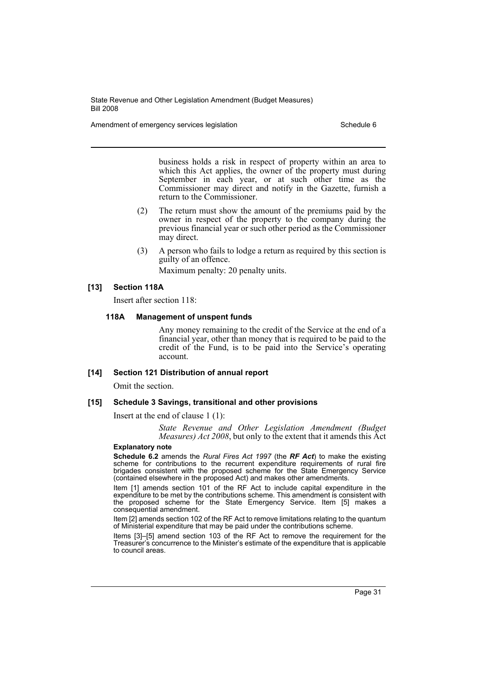Amendment of emergency services legislation Schedule 6 Schedule 6

business holds a risk in respect of property within an area to which this Act applies, the owner of the property must during September in each year, or at such other time as the Commissioner may direct and notify in the Gazette, furnish a return to the Commissioner.

- (2) The return must show the amount of the premiums paid by the owner in respect of the property to the company during the previous financial year or such other period as the Commissioner may direct.
- (3) A person who fails to lodge a return as required by this section is guilty of an offence. Maximum penalty: 20 penalty units.

### **[13] Section 118A**

Insert after section 118:

### **118A Management of unspent funds**

Any money remaining to the credit of the Service at the end of a financial year, other than money that is required to be paid to the credit of the Fund, is to be paid into the Service's operating account.

### **[14] Section 121 Distribution of annual report**

Omit the section.

### **[15] Schedule 3 Savings, transitional and other provisions**

Insert at the end of clause 1 (1):

*State Revenue and Other Legislation Amendment (Budget Measures) Act 2008*, but only to the extent that it amends this Act

#### **Explanatory note**

**Schedule 6.2** amends the *Rural Fires Act 1997* (the *RF Act*) to make the existing scheme for contributions to the recurrent expenditure requirements of rural fire brigades consistent with the proposed scheme for the State Emergency Service (contained elsewhere in the proposed Act) and makes other amendments.

Item [1] amends section 101 of the RF Act to include capital expenditure in the expenditure to be met by the contributions scheme. This amendment is consistent with the proposed scheme for the State Emergency Service. Item [5] makes a consequential amendment.

Item [2] amends section 102 of the RF Act to remove limitations relating to the quantum of Ministerial expenditure that may be paid under the contributions scheme.

Items [3]–[5] amend section 103 of the RF Act to remove the requirement for the Treasurer's concurrence to the Minister's estimate of the expenditure that is applicable to council areas.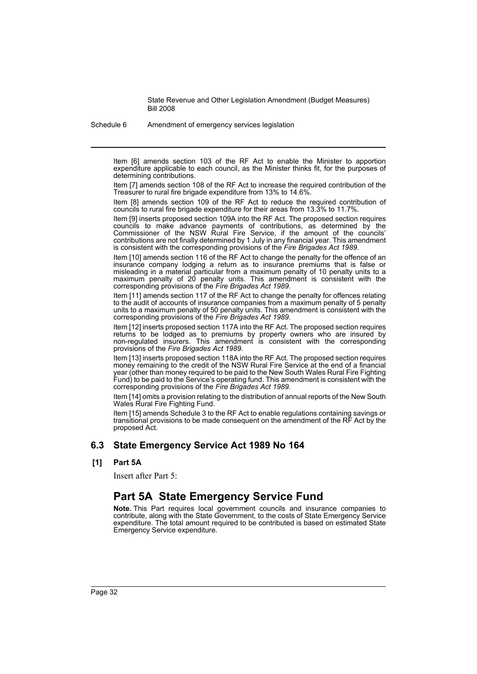Schedule 6 Amendment of emergency services legislation

Item [6] amends section 103 of the RF Act to enable the Minister to apportion expenditure applicable to each council, as the Minister thinks fit, for the purposes of determining contributions.

Item [7] amends section 108 of the RF Act to increase the required contribution of the Treasurer to rural fire brigade expenditure from 13% to 14.6%.

Item [8] amends section 109 of the RF Act to reduce the required contribution of councils to rural fire brigade expenditure for their areas from 13.3% to 11.7%.

Item [9] inserts proposed section 109A into the RF Act. The proposed section requires councils to make advance payments of contributions, as determined by the Commissioner of the NSW Rural Fire Service, if the amount of the councils' contributions are not finally determined by 1 July in any financial year. This amendment is consistent with the corresponding provisions of the *Fire Brigades Act 1989*.

Item [10] amends section 116 of the RF Act to change the penalty for the offence of an insurance company lodging a return as to insurance premiums that is false or misleading in a material particular from a maximum penalty of 10 penalty units to a maximum penalty of 20 penalty units. This amendment is consistent with the corresponding provisions of the *Fire Brigades Act 1989*.

Item [11] amends section 117 of the RF Act to change the penalty for offences relating to the audit of accounts of insurance companies from a maximum penalty of 5 penalty units to a maximum penalty of 50 penalty units. This amendment is consistent with the corresponding provisions of the *Fire Brigades Act 1989*.

Item [12] inserts proposed section 117A into the RF Act. The proposed section requires returns to be lodged as to premiums by property owners who are insured by non-regulated insurers. This amendment is consistent with the corresponding provisions of the *Fire Brigades Act 1989*.

Item [13] inserts proposed section 118A into the RF Act. The proposed section requires money remaining to the credit of the NSW Rural Fire Service at the end of a financial year (other than money required to be paid to the New South Wales Rural Fire Fighting Fund) to be paid to the Service's operating fund. This amendment is consistent with the corresponding provisions of the *Fire Brigades Act 1989*.

Item [14] omits a provision relating to the distribution of annual reports of the New South Wales Rural Fire Fighting Fund.

Item [15] amends Schedule 3 to the RF Act to enable regulations containing savings or transitional provisions to be made consequent on the amendment of the RF Act by the proposed Act.

### **6.3 State Emergency Service Act 1989 No 164**

**[1] Part 5A**

Insert after Part 5:

# **Part 5A State Emergency Service Fund**

**Note.** This Part requires local government councils and insurance companies to contribute, along with the State Government, to the costs of State Emergency Service expenditure. The total amount required to be contributed is based on estimated State Emergency Service expenditure.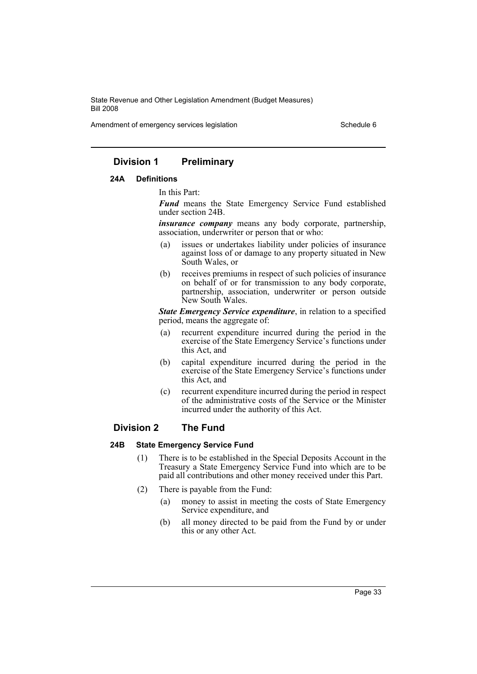Amendment of emergency services legislation Schedule 6

### **Division 1 Preliminary**

### **24A Definitions**

In this Part:

*Fund* means the State Emergency Service Fund established under section 24B.

*insurance company* means any body corporate, partnership, association, underwriter or person that or who:

- (a) issues or undertakes liability under policies of insurance against loss of or damage to any property situated in New South Wales, or
- (b) receives premiums in respect of such policies of insurance on behalf of or for transmission to any body corporate, partnership, association, underwriter or person outside New South Wales.

*State Emergency Service expenditure*, in relation to a specified period, means the aggregate of:

- (a) recurrent expenditure incurred during the period in the exercise of the State Emergency Service's functions under this Act, and
- (b) capital expenditure incurred during the period in the exercise of the State Emergency Service's functions under this Act, and
- (c) recurrent expenditure incurred during the period in respect of the administrative costs of the Service or the Minister incurred under the authority of this Act.

### **Division 2 The Fund**

### **24B State Emergency Service Fund**

- (1) There is to be established in the Special Deposits Account in the Treasury a State Emergency Service Fund into which are to be paid all contributions and other money received under this Part.
- (2) There is payable from the Fund:
	- (a) money to assist in meeting the costs of State Emergency Service expenditure, and
	- (b) all money directed to be paid from the Fund by or under this or any other Act.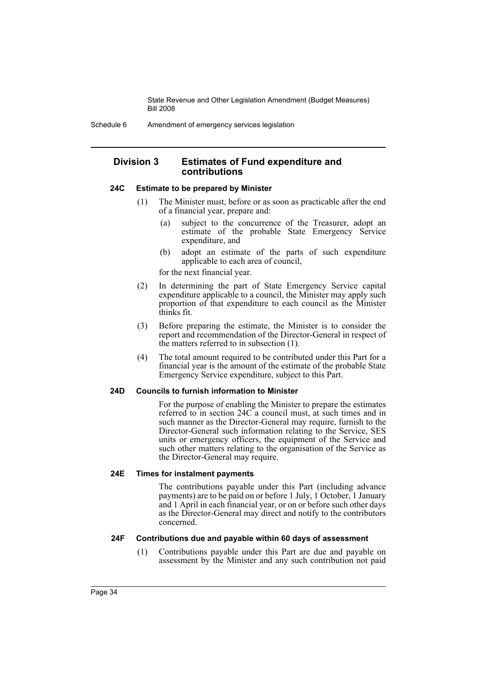### **Division 3 Estimates of Fund expenditure and contributions**

### **24C Estimate to be prepared by Minister**

- (1) The Minister must, before or as soon as practicable after the end of a financial year, prepare and:
	- (a) subject to the concurrence of the Treasurer, adopt an estimate of the probable State Emergency Service expenditure, and
	- (b) adopt an estimate of the parts of such expenditure applicable to each area of council,

for the next financial year.

- (2) In determining the part of State Emergency Service capital expenditure applicable to a council, the Minister may apply such proportion of that expenditure to each council as the Minister thinks fit.
- (3) Before preparing the estimate, the Minister is to consider the report and recommendation of the Director-General in respect of the matters referred to in subsection (1).
- (4) The total amount required to be contributed under this Part for a financial year is the amount of the estimate of the probable State Emergency Service expenditure, subject to this Part.

### **24D Councils to furnish information to Minister**

For the purpose of enabling the Minister to prepare the estimates referred to in section 24C a council must, at such times and in such manner as the Director-General may require, furnish to the Director-General such information relating to the Service, SES units or emergency officers, the equipment of the Service and such other matters relating to the organisation of the Service as the Director-General may require.

### **24E Times for instalment payments**

The contributions payable under this Part (including advance payments) are to be paid on or before 1 July, 1 October, 1 January and 1 April in each financial year, or on or before such other days as the Director-General may direct and notify to the contributors concerned.

### **24F Contributions due and payable within 60 days of assessment**

(1) Contributions payable under this Part are due and payable on assessment by the Minister and any such contribution not paid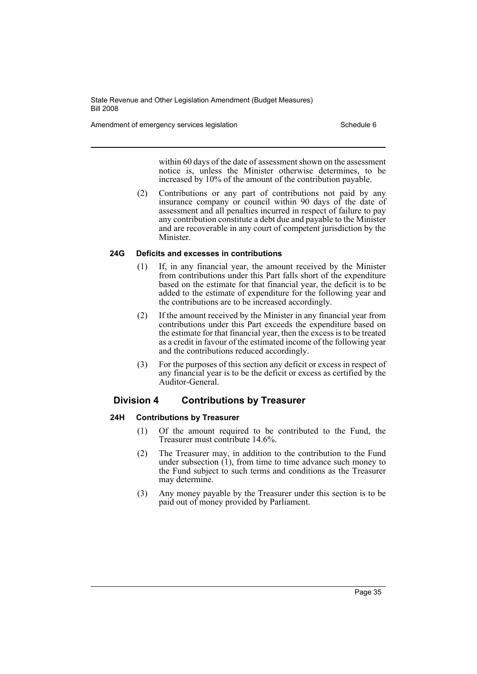Amendment of emergency services legislation Schedule 6 Schedule 6

within 60 days of the date of assessment shown on the assessment notice is, unless the Minister otherwise determines, to be increased by 10% of the amount of the contribution payable.

(2) Contributions or any part of contributions not paid by any insurance company or council within 90 days of the date of assessment and all penalties incurred in respect of failure to pay any contribution constitute a debt due and payable to the Minister and are recoverable in any court of competent jurisdiction by the Minister.

### **24G Deficits and excesses in contributions**

- (1) If, in any financial year, the amount received by the Minister from contributions under this Part falls short of the expenditure based on the estimate for that financial year, the deficit is to be added to the estimate of expenditure for the following year and the contributions are to be increased accordingly.
- (2) If the amount received by the Minister in any financial year from contributions under this Part exceeds the expenditure based on the estimate for that financial year, then the excess is to be treated as a credit in favour of the estimated income of the following year and the contributions reduced accordingly.
- (3) For the purposes of this section any deficit or excess in respect of any financial year is to be the deficit or excess as certified by the Auditor-General.

# **Division 4 Contributions by Treasurer**

# **24H Contributions by Treasurer**

- (1) Of the amount required to be contributed to the Fund, the Treasurer must contribute 14.6%.
- (2) The Treasurer may, in addition to the contribution to the Fund under subsection (1), from time to time advance such money to the Fund subject to such terms and conditions as the Treasurer may determine.
- (3) Any money payable by the Treasurer under this section is to be paid out of money provided by Parliament.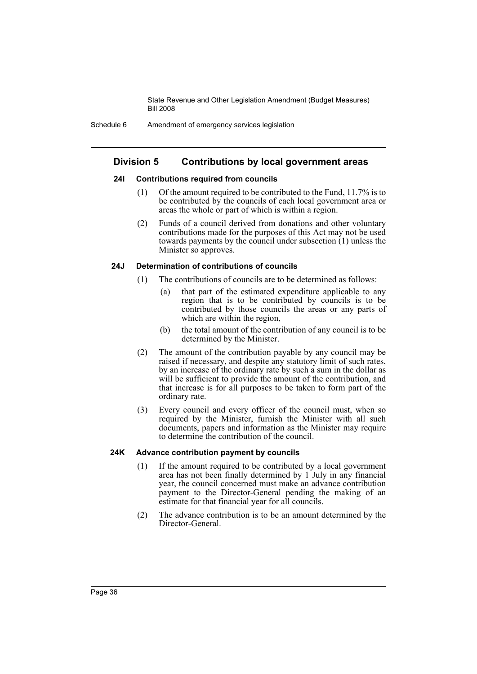# **Division 5 Contributions by local government areas**

### **24I Contributions required from councils**

- (1) Of the amount required to be contributed to the Fund, 11.7% is to be contributed by the councils of each local government area or areas the whole or part of which is within a region.
- (2) Funds of a council derived from donations and other voluntary contributions made for the purposes of this Act may not be used towards payments by the council under subsection (1) unless the Minister so approves.

## **24J Determination of contributions of councils**

- (1) The contributions of councils are to be determined as follows:
	- (a) that part of the estimated expenditure applicable to any region that is to be contributed by councils is to be contributed by those councils the areas or any parts of which are within the region,
	- (b) the total amount of the contribution of any council is to be determined by the Minister.
- (2) The amount of the contribution payable by any council may be raised if necessary, and despite any statutory limit of such rates, by an increase of the ordinary rate by such a sum in the dollar as will be sufficient to provide the amount of the contribution, and that increase is for all purposes to be taken to form part of the ordinary rate.
- (3) Every council and every officer of the council must, when so required by the Minister, furnish the Minister with all such documents, papers and information as the Minister may require to determine the contribution of the council.

# **24K Advance contribution payment by councils**

- (1) If the amount required to be contributed by a local government area has not been finally determined by 1 July in any financial year, the council concerned must make an advance contribution payment to the Director-General pending the making of an estimate for that financial year for all councils.
- (2) The advance contribution is to be an amount determined by the Director-General.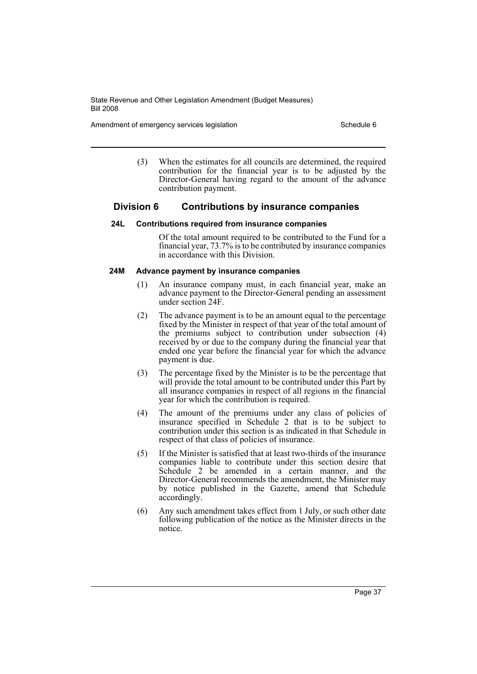Amendment of emergency services legislation Schedule 6 Schedule 6

(3) When the estimates for all councils are determined, the required contribution for the financial year is to be adjusted by the Director-General having regard to the amount of the advance contribution payment.

# **Division 6 Contributions by insurance companies**

### **24L Contributions required from insurance companies**

Of the total amount required to be contributed to the Fund for a financial year, 73.7% is to be contributed by insurance companies in accordance with this Division.

# **24M Advance payment by insurance companies**

- (1) An insurance company must, in each financial year, make an advance payment to the Director-General pending an assessment under section 24F.
- (2) The advance payment is to be an amount equal to the percentage fixed by the Minister in respect of that year of the total amount of the premiums subject to contribution under subsection (4) received by or due to the company during the financial year that ended one year before the financial year for which the advance payment is due.
- (3) The percentage fixed by the Minister is to be the percentage that will provide the total amount to be contributed under this Part by all insurance companies in respect of all regions in the financial year for which the contribution is required.
- (4) The amount of the premiums under any class of policies of insurance specified in Schedule 2 that is to be subject to contribution under this section is as indicated in that Schedule in respect of that class of policies of insurance.
- (5) If the Minister is satisfied that at least two-thirds of the insurance companies liable to contribute under this section desire that Schedule 2 be amended in a certain manner, and the Director-General recommends the amendment, the Minister may by notice published in the Gazette, amend that Schedule accordingly.
- (6) Any such amendment takes effect from 1 July, or such other date following publication of the notice as the Minister directs in the notice.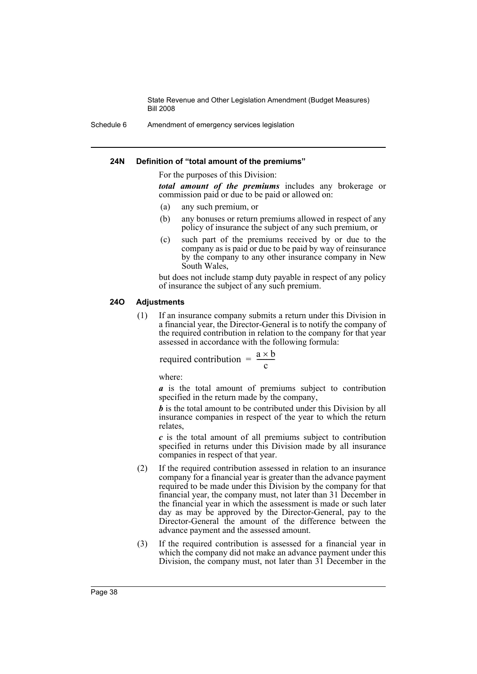Schedule 6 Amendment of emergency services legislation

### **24N Definition of "total amount of the premiums"**

For the purposes of this Division:

*total amount of the premiums* includes any brokerage or commission paid or due to be paid or allowed on:

- (a) any such premium, or
- (b) any bonuses or return premiums allowed in respect of any policy of insurance the subject of any such premium, or
- (c) such part of the premiums received by or due to the company as is paid or due to be paid by way of reinsurance by the company to any other insurance company in New South Wales,

but does not include stamp duty payable in respect of any policy of insurance the subject of any such premium.

### **24O Adjustments**

(1) If an insurance company submits a return under this Division in a financial year, the Director-General is to notify the company of the required contribution in relation to the company for that year assessed in accordance with the following formula:

required contribution =  $\frac{a \times b}{c}$ 

where:

*a* is the total amount of premiums subject to contribution specified in the return made by the company,

*b* is the total amount to be contributed under this Division by all insurance companies in respect of the year to which the return relates,

*c* is the total amount of all premiums subject to contribution specified in returns under this Division made by all insurance companies in respect of that year.

- (2) If the required contribution assessed in relation to an insurance company for a financial year is greater than the advance payment required to be made under this Division by the company for that financial year, the company must, not later than 31 December in the financial year in which the assessment is made or such later day as may be approved by the Director-General, pay to the Director-General the amount of the difference between the advance payment and the assessed amount.
- (3) If the required contribution is assessed for a financial year in which the company did not make an advance payment under this Division, the company must, not later than 31 December in the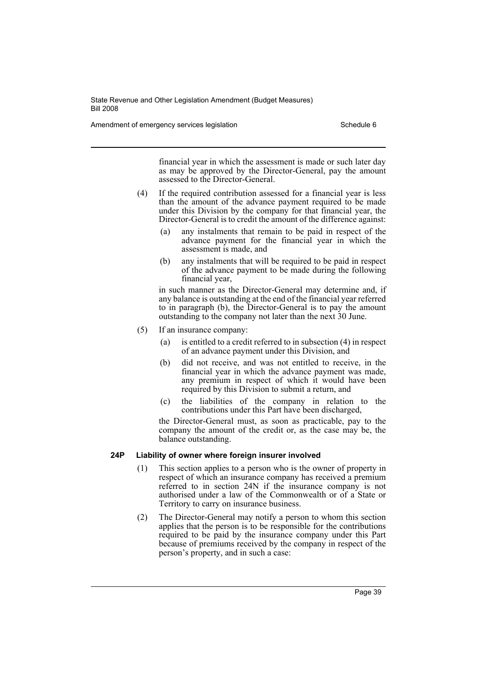Amendment of emergency services legislation Schedule 6 Schedule 6

financial year in which the assessment is made or such later day as may be approved by the Director-General, pay the amount assessed to the Director-General.

- (4) If the required contribution assessed for a financial year is less than the amount of the advance payment required to be made under this Division by the company for that financial year, the Director-General is to credit the amount of the difference against:
	- (a) any instalments that remain to be paid in respect of the advance payment for the financial year in which the assessment is made, and
	- (b) any instalments that will be required to be paid in respect of the advance payment to be made during the following financial year,

in such manner as the Director-General may determine and, if any balance is outstanding at the end of the financial year referred to in paragraph (b), the Director-General is to pay the amount outstanding to the company not later than the next 30 June.

- (5) If an insurance company:
	- (a) is entitled to a credit referred to in subsection (4) in respect of an advance payment under this Division, and
	- (b) did not receive, and was not entitled to receive, in the financial year in which the advance payment was made, any premium in respect of which it would have been required by this Division to submit a return, and
	- (c) the liabilities of the company in relation to the contributions under this Part have been discharged,

the Director-General must, as soon as practicable, pay to the company the amount of the credit or, as the case may be, the balance outstanding.

# **24P Liability of owner where foreign insurer involved**

- (1) This section applies to a person who is the owner of property in respect of which an insurance company has received a premium referred to in section 24N if the insurance company is not authorised under a law of the Commonwealth or of a State or Territory to carry on insurance business.
- (2) The Director-General may notify a person to whom this section applies that the person is to be responsible for the contributions required to be paid by the insurance company under this Part because of premiums received by the company in respect of the person's property, and in such a case: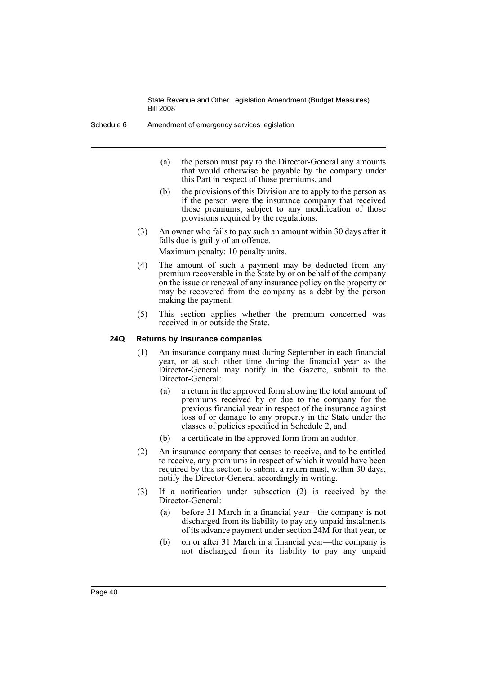Schedule 6 Amendment of emergency services legislation

- (a) the person must pay to the Director-General any amounts that would otherwise be payable by the company under this Part in respect of those premiums, and
- (b) the provisions of this Division are to apply to the person as if the person were the insurance company that received those premiums, subject to any modification of those provisions required by the regulations.
- (3) An owner who fails to pay such an amount within 30 days after it falls due is guilty of an offence.

Maximum penalty: 10 penalty units.

- (4) The amount of such a payment may be deducted from any premium recoverable in the State by or on behalf of the company on the issue or renewal of any insurance policy on the property or may be recovered from the company as a debt by the person making the payment.
- (5) This section applies whether the premium concerned was received in or outside the State.

# **24Q Returns by insurance companies**

- (1) An insurance company must during September in each financial year, or at such other time during the financial year as the Director-General may notify in the Gazette, submit to the Director-General:
	- (a) a return in the approved form showing the total amount of premiums received by or due to the company for the previous financial year in respect of the insurance against loss of or damage to any property in the State under the classes of policies specified in Schedule 2, and
	- (b) a certificate in the approved form from an auditor.
- (2) An insurance company that ceases to receive, and to be entitled to receive, any premiums in respect of which it would have been required by this section to submit a return must, within 30 days, notify the Director-General accordingly in writing.
- (3) If a notification under subsection (2) is received by the Director-General:
	- (a) before 31 March in a financial year—the company is not discharged from its liability to pay any unpaid instalments of its advance payment under section 24M for that year, or
	- (b) on or after 31 March in a financial year—the company is not discharged from its liability to pay any unpaid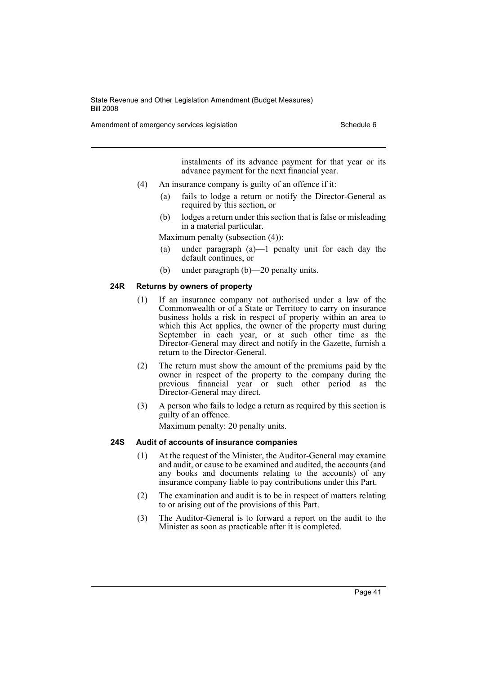Amendment of emergency services legislation Schedule 6

instalments of its advance payment for that year or its advance payment for the next financial year.

- (4) An insurance company is guilty of an offence if it:
	- (a) fails to lodge a return or notify the Director-General as required by this section, or
	- (b) lodges a return under this section that is false or misleading in a material particular.

Maximum penalty (subsection (4)):

- (a) under paragraph (a)—1 penalty unit for each day the default continues, or
- (b) under paragraph (b)—20 penalty units.

# **24R Returns by owners of property**

- (1) If an insurance company not authorised under a law of the Commonwealth or of a State or Territory to carry on insurance business holds a risk in respect of property within an area to which this Act applies, the owner of the property must during September in each year, or at such other time as the Director-General may direct and notify in the Gazette, furnish a return to the Director-General.
- (2) The return must show the amount of the premiums paid by the owner in respect of the property to the company during the previous financial year or such other period as the Director-General may direct.
- (3) A person who fails to lodge a return as required by this section is guilty of an offence.

Maximum penalty: 20 penalty units.

### **24S Audit of accounts of insurance companies**

- (1) At the request of the Minister, the Auditor-General may examine and audit, or cause to be examined and audited, the accounts (and any books and documents relating to the accounts) of any insurance company liable to pay contributions under this Part.
- (2) The examination and audit is to be in respect of matters relating to or arising out of the provisions of this Part.
- (3) The Auditor-General is to forward a report on the audit to the Minister as soon as practicable after it is completed.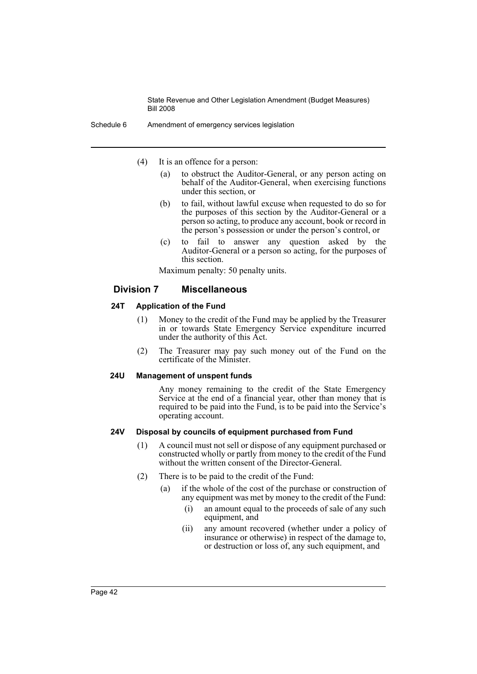Schedule 6 Amendment of emergency services legislation

- (4) It is an offence for a person:
	- (a) to obstruct the Auditor-General, or any person acting on behalf of the Auditor-General, when exercising functions under this section, or
	- (b) to fail, without lawful excuse when requested to do so for the purposes of this section by the Auditor-General or a person so acting, to produce any account, book or record in the person's possession or under the person's control, or
	- (c) to fail to answer any question asked by the Auditor-General or a person so acting, for the purposes of this section.

Maximum penalty: 50 penalty units.

# **Division 7 Miscellaneous**

### **24T Application of the Fund**

- (1) Money to the credit of the Fund may be applied by the Treasurer in or towards State Emergency Service expenditure incurred under the authority of this Act.
- (2) The Treasurer may pay such money out of the Fund on the certificate of the Minister.

## **24U Management of unspent funds**

Any money remaining to the credit of the State Emergency Service at the end of a financial year, other than money that is required to be paid into the Fund, is to be paid into the Service's operating account.

### **24V Disposal by councils of equipment purchased from Fund**

- (1) A council must not sell or dispose of any equipment purchased or constructed wholly or partly from money to the credit of the Fund without the written consent of the Director-General.
- (2) There is to be paid to the credit of the Fund:
	- (a) if the whole of the cost of the purchase or construction of any equipment was met by money to the credit of the Fund:
		- (i) an amount equal to the proceeds of sale of any such equipment, and
		- (ii) any amount recovered (whether under a policy of insurance or otherwise) in respect of the damage to, or destruction or loss of, any such equipment, and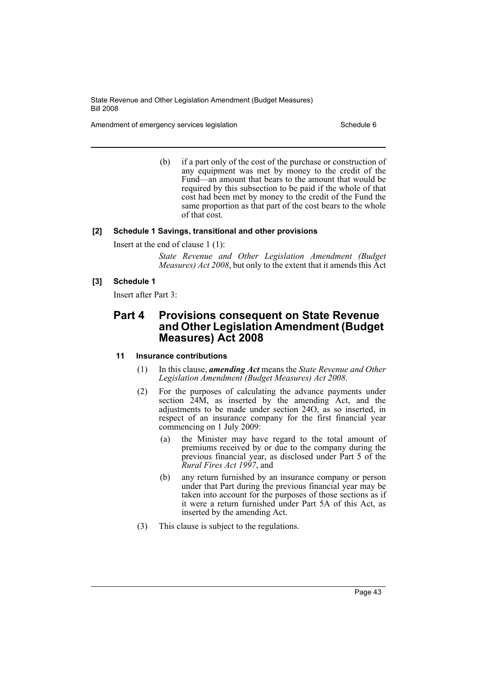Amendment of emergency services legislation Schedule 6 Schedule 6

(b) if a part only of the cost of the purchase or construction of any equipment was met by money to the credit of the Fund—an amount that bears to the amount that would be required by this subsection to be paid if the whole of that cost had been met by money to the credit of the Fund the same proportion as that part of the cost bears to the whole of that cost.

# **[2] Schedule 1 Savings, transitional and other provisions**

Insert at the end of clause 1 (1):

*State Revenue and Other Legislation Amendment (Budget Measures) Act 2008*, but only to the extent that it amends this Act

## **[3] Schedule 1**

Insert after Part 3:

# **Part 4 Provisions consequent on State Revenue and Other Legislation Amendment (Budget Measures) Act 2008**

# **11 Insurance contributions**

- (1) In this clause, *amending Act* means the *State Revenue and Other Legislation Amendment (Budget Measures) Act 2008*.
- (2) For the purposes of calculating the advance payments under section 24M, as inserted by the amending Act, and the adjustments to be made under section 24O, as so inserted, in respect of an insurance company for the first financial year commencing on 1 July 2009:
	- (a) the Minister may have regard to the total amount of premiums received by or due to the company during the previous financial year, as disclosed under Part 5 of the *Rural Fires Act 1997*, and
	- (b) any return furnished by an insurance company or person under that Part during the previous financial year may be taken into account for the purposes of those sections as if it were a return furnished under Part 5A of this Act, as inserted by the amending Act.
- (3) This clause is subject to the regulations.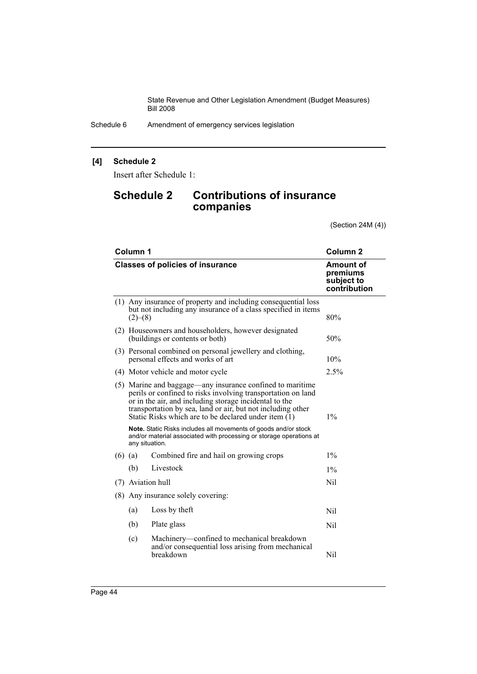Schedule 6 Amendment of emergency services legislation

# **[4] Schedule 2**

Insert after Schedule 1:

# **Schedule 2 Contributions of insurance companies**

(Section 24M (4))

| Column 1                                                                                                                                                                                                                                                                                                     | Column <sub>2</sub>                                                                                                             |       |
|--------------------------------------------------------------------------------------------------------------------------------------------------------------------------------------------------------------------------------------------------------------------------------------------------------------|---------------------------------------------------------------------------------------------------------------------------------|-------|
| <b>Classes of policies of insurance</b>                                                                                                                                                                                                                                                                      | Amount of<br>premiums<br>subject to<br>contribution                                                                             |       |
| (2)–(8)                                                                                                                                                                                                                                                                                                      | (1) Any insurance of property and including consequential loss<br>but not including any insurance of a class specified in items | 80%   |
| (2) Houseowners and householders, however designated<br>(buildings or contents or both)                                                                                                                                                                                                                      |                                                                                                                                 | 50%   |
| (3) Personal combined on personal jewellery and clothing,<br>personal effects and works of art                                                                                                                                                                                                               | 10%                                                                                                                             |       |
| (4) Motor vehicle and motor cycle                                                                                                                                                                                                                                                                            |                                                                                                                                 | 2.5%  |
| (5) Marine and baggage—any insurance confined to maritime<br>perils or confined to risks involving transportation on land<br>or in the air, and including storage incidental to the<br>transportation by sea, land or air, but not including other<br>Static Risks which are to be declared under item $(1)$ |                                                                                                                                 | $1\%$ |
| Note. Static Risks includes all movements of goods and/or stock<br>and/or material associated with processing or storage operations at<br>any situation.                                                                                                                                                     |                                                                                                                                 |       |
| $(6)$ (a)                                                                                                                                                                                                                                                                                                    | Combined fire and hail on growing crops                                                                                         | $1\%$ |
| (b)                                                                                                                                                                                                                                                                                                          | Livestock                                                                                                                       | $1\%$ |
| (7) Aviation hull                                                                                                                                                                                                                                                                                            |                                                                                                                                 | Nil   |
| (8) Any insurance solely covering:                                                                                                                                                                                                                                                                           |                                                                                                                                 |       |
| (a)                                                                                                                                                                                                                                                                                                          | Loss by theft                                                                                                                   | Nil   |
| (b)                                                                                                                                                                                                                                                                                                          | Plate glass                                                                                                                     | Nil   |
| (c)                                                                                                                                                                                                                                                                                                          | Machinery—confined to mechanical breakdown<br>and/or consequential loss arising from mechanical<br>breakdown                    | Nil   |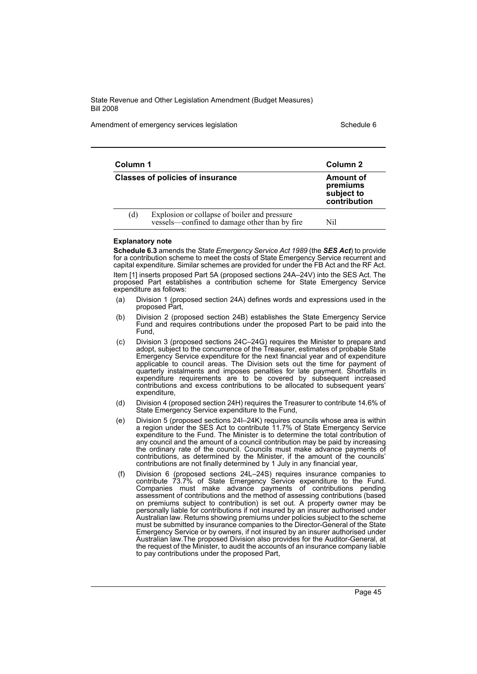Amendment of emergency services legislation Schedule 6 Schedule 6

| Column 1 |                                                                                               | Column 2                                                   |  |
|----------|-----------------------------------------------------------------------------------------------|------------------------------------------------------------|--|
|          | <b>Classes of policies of insurance</b>                                                       | <b>Amount of</b><br>premiums<br>subject to<br>contribution |  |
| (d)      | Explosion or collapse of boiler and pressure<br>vessels—confined to damage other than by fire | Nil                                                        |  |

#### **Explanatory note**

**Schedule 6.3** amends the *State Emergency Service Act 1989* (the *SES Act*) to provide for a contribution scheme to meet the costs of State Emergency Service recurrent and capital expenditure. Similar schemes are provided for under the FB Act and the RF Act. Item [1] inserts proposed Part 5A (proposed sections 24A–24V) into the SES Act. The proposed Part establishes a contribution scheme for State Emergency Service expenditure as follows:

- (a) Division 1 (proposed section 24A) defines words and expressions used in the proposed Part,
- (b) Division 2 (proposed section 24B) establishes the State Emergency Service Fund and requires contributions under the proposed Part to be paid into the Fund,
- (c) Division 3 (proposed sections 24C–24G) requires the Minister to prepare and adopt, subject to the concurrence of the Treasurer, estimates of probable State Emergency Service expenditure for the next financial year and of expenditure applicable to council areas. The Division sets out the time for payment of quarterly instalments and imposes penalties for late payment. Shortfalls in expenditure requirements are to be covered by subsequent increased contributions and excess contributions to be allocated to subsequent years' expenditure,
- (d) Division 4 (proposed section 24H) requires the Treasurer to contribute 14.6% of State Emergency Service expenditure to the Fund,
- (e) Division 5 (proposed sections 24I–24K) requires councils whose area is within a region under the SES Act to contribute 11.7% of State Emergency Service expenditure to the Fund. The Minister is to determine the total contribution of any council and the amount of a council contribution may be paid by increasing the ordinary rate of the council. Councils must make advance payments of contributions, as determined by the Minister, if the amount of the councils' contributions are not finally determined by 1 July in any financial year,
- (f) Division 6 (proposed sections 24L–24S) requires insurance companies to contribute 73.7% of State Emergency Service expenditure to the Fund. Companies must make advance payments of contributions pending assessment of contributions and the method of assessing contributions (based on premiums subject to contribution) is set out. A property owner may be personally liable for contributions if not insured by an insurer authorised under Australian law. Returns showing premiums under policies subject to the scheme must be submitted by insurance companies to the Director-General of the State Emergency Service or by owners, if not insured by an insurer authorised under Australian law.The proposed Division also provides for the Auditor-General, at the request of the Minister, to audit the accounts of an insurance company liable to pay contributions under the proposed Part,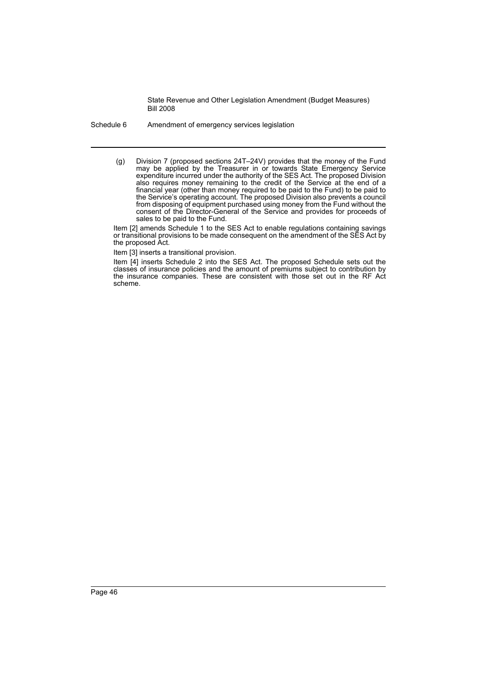Schedule 6 Amendment of emergency services legislation

(g) Division 7 (proposed sections 24T–24V) provides that the money of the Fund may be applied by the Treasurer in or towards State Emergency Service expenditure incurred under the authority of the SES Act. The proposed Division also requires money remaining to the credit of the Service at the end of a financial year (other than money required to be paid to the Fund) to be paid to the Service's operating account. The proposed Division also prevents a council from disposing of equipment purchased using money from the Fund without the consent of the Director-General of the Service and provides for proceeds of sales to be paid to the Fund.

Item [2] amends Schedule 1 to the SES Act to enable regulations containing savings or transitional provisions to be made consequent on the amendment of the SES Act by the proposed Act.

Item [3] inserts a transitional provision.

Item [4] inserts Schedule 2 into the SES Act. The proposed Schedule sets out the classes of insurance policies and the amount of premiums subject to contribution by the insurance companies. These are consistent with those set out in the RF Act scheme.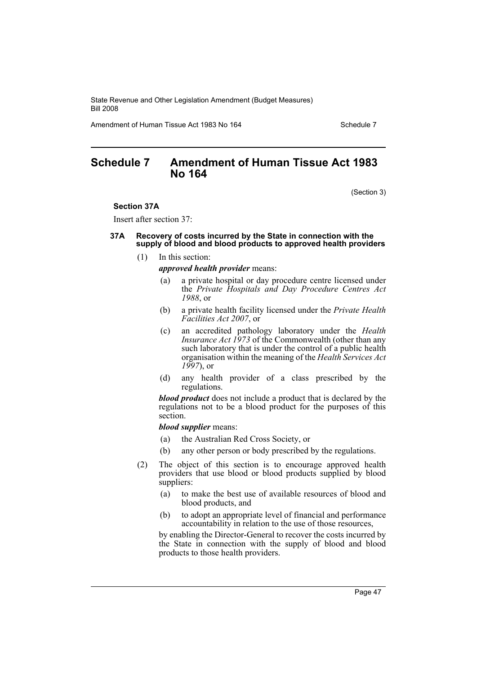Amendment of Human Tissue Act 1983 No 164 Schedule 7

# **Schedule 7 Amendment of Human Tissue Act 1983 No 164**

(Section 3)

#### **Section 37A**

Insert after section 37:

### **37A Recovery of costs incurred by the State in connection with the supply of blood and blood products to approved health providers**

(1) In this section:

*approved health provider* means:

- (a) a private hospital or day procedure centre licensed under the *Private Hospitals and Day Procedure Centres Act 1988*, or
- (b) a private health facility licensed under the *Private Health Facilities Act 2007*, or
- (c) an accredited pathology laboratory under the *Health Insurance Act 1973* of the Commonwealth (other than any such laboratory that is under the control of a public health organisation within the meaning of the *Health Services Act 1997*), or
- (d) any health provider of a class prescribed by the regulations.

*blood product* does not include a product that is declared by the regulations not to be a blood product for the purposes of this section.

*blood supplier* means:

- (a) the Australian Red Cross Society, or
- (b) any other person or body prescribed by the regulations.
- (2) The object of this section is to encourage approved health providers that use blood or blood products supplied by blood suppliers:
	- (a) to make the best use of available resources of blood and blood products, and
	- (b) to adopt an appropriate level of financial and performance accountability in relation to the use of those resources,

by enabling the Director-General to recover the costs incurred by the State in connection with the supply of blood and blood products to those health providers.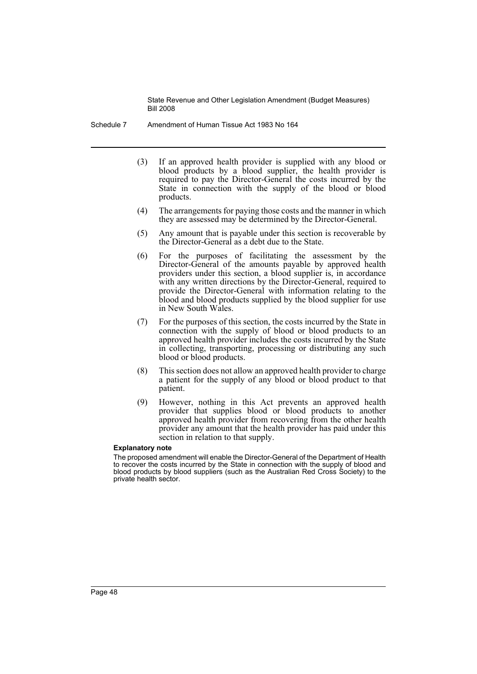Schedule 7 Amendment of Human Tissue Act 1983 No 164

- (3) If an approved health provider is supplied with any blood or blood products by a blood supplier, the health provider is required to pay the Director-General the costs incurred by the State in connection with the supply of the blood or blood products.
- (4) The arrangements for paying those costs and the manner in which they are assessed may be determined by the Director-General.
- (5) Any amount that is payable under this section is recoverable by the Director-General as a debt due to the State.
- (6) For the purposes of facilitating the assessment by the Director-General of the amounts payable by approved health providers under this section, a blood supplier is, in accordance with any written directions by the Director-General, required to provide the Director-General with information relating to the blood and blood products supplied by the blood supplier for use in New South Wales.
- (7) For the purposes of this section, the costs incurred by the State in connection with the supply of blood or blood products to an approved health provider includes the costs incurred by the State in collecting, transporting, processing or distributing any such blood or blood products.
- (8) This section does not allow an approved health provider to charge a patient for the supply of any blood or blood product to that patient.
- (9) However, nothing in this Act prevents an approved health provider that supplies blood or blood products to another approved health provider from recovering from the other health provider any amount that the health provider has paid under this section in relation to that supply.

#### **Explanatory note**

The proposed amendment will enable the Director-General of the Department of Health to recover the costs incurred by the State in connection with the supply of blood and blood products by blood suppliers (such as the Australian Red Cross Society) to the private health sector.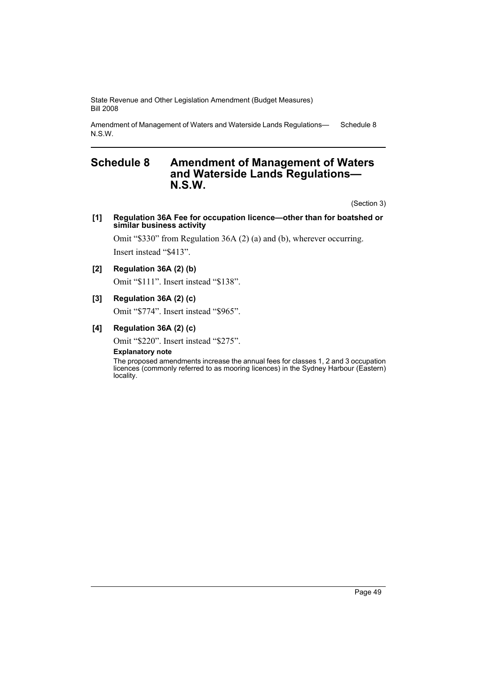Amendment of Management of Waters and Waterside Lands Regulations— N.S.W. Schedule 8

# **Schedule 8 Amendment of Management of Waters and Waterside Lands Regulations— N.S.W.**

(Section 3)

### **[1] Regulation 36A Fee for occupation licence—other than for boatshed or similar business activity**

Omit "\$330" from Regulation 36A (2) (a) and (b), wherever occurring. Insert instead "\$413".

# **[2] Regulation 36A (2) (b)**

Omit "\$111". Insert instead "\$138".

## **[3] Regulation 36A (2) (c)**

Omit "\$774". Insert instead "\$965".

# **[4] Regulation 36A (2) (c)**

Omit "\$220". Insert instead "\$275".

### **Explanatory note**

The proposed amendments increase the annual fees for classes 1, 2 and 3 occupation licences (commonly referred to as mooring licences) in the Sydney Harbour (Eastern) locality.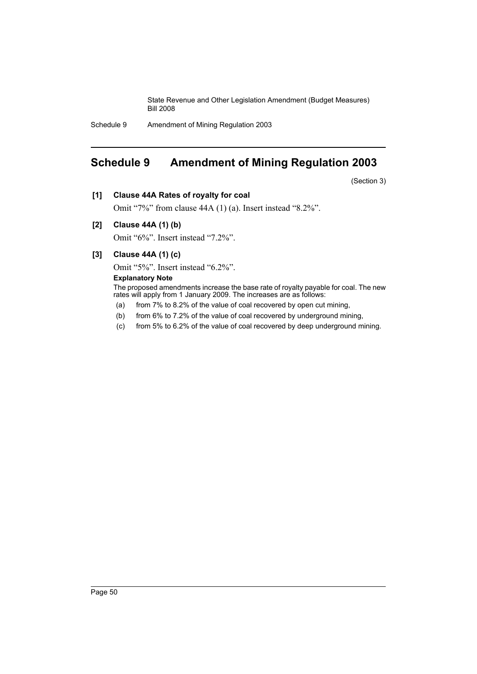Schedule 9 Amendment of Mining Regulation 2003

# **Schedule 9 Amendment of Mining Regulation 2003**

(Section 3)

**[1] Clause 44A Rates of royalty for coal**

Omit "7%" from clause 44A (1) (a). Insert instead "8.2%".

**[2] Clause 44A (1) (b)**

Omit "6%". Insert instead "7.2%".

**[3] Clause 44A (1) (c)**

Omit "5%". Insert instead "6.2%".

# **Explanatory Note**

The proposed amendments increase the base rate of royalty payable for coal. The new rates will apply from 1 January 2009. The increases are as follows:

- (a) from 7% to 8.2% of the value of coal recovered by open cut mining,
- (b) from 6% to 7.2% of the value of coal recovered by underground mining,
- (c) from 5% to 6.2% of the value of coal recovered by deep underground mining.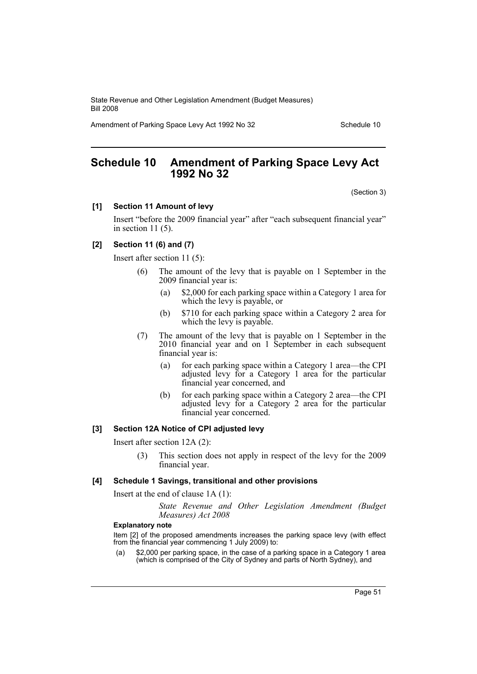Amendment of Parking Space Levy Act 1992 No 32 Schedule 10

# **Schedule 10 Amendment of Parking Space Levy Act 1992 No 32**

(Section 3)

### **[1] Section 11 Amount of levy**

Insert "before the 2009 financial year" after "each subsequent financial year" in section  $11(5)$ .

# **[2] Section 11 (6) and (7)**

Insert after section 11 (5):

- (6) The amount of the levy that is payable on 1 September in the 2009 financial year is:
	- (a) \$2,000 for each parking space within a Category 1 area for which the levy is payable, or
	- (b) \$710 for each parking space within a Category 2 area for which the levy is payable.
- (7) The amount of the levy that is payable on 1 September in the 2010 financial year and on 1 September in each subsequent financial year is:
	- (a) for each parking space within a Category 1 area—the CPI adjusted levy for a Category 1 area for the particular financial year concerned, and
	- (b) for each parking space within a Category 2 area—the CPI adjusted levy for a Category 2 area for the particular financial year concerned.

# **[3] Section 12A Notice of CPI adjusted levy**

Insert after section 12A (2):

(3) This section does not apply in respect of the levy for the 2009 financial year.

#### **[4] Schedule 1 Savings, transitional and other provisions**

Insert at the end of clause 1A (1):

*State Revenue and Other Legislation Amendment (Budget Measures) Act 2008*

#### **Explanatory note**

Item [2] of the proposed amendments increases the parking space levy (with effect from the financial year commencing 1 July 2009) to:

(a) \$2,000 per parking space, in the case of a parking space in a Category 1 area (which is comprised of the City of Sydney and parts of North Sydney), and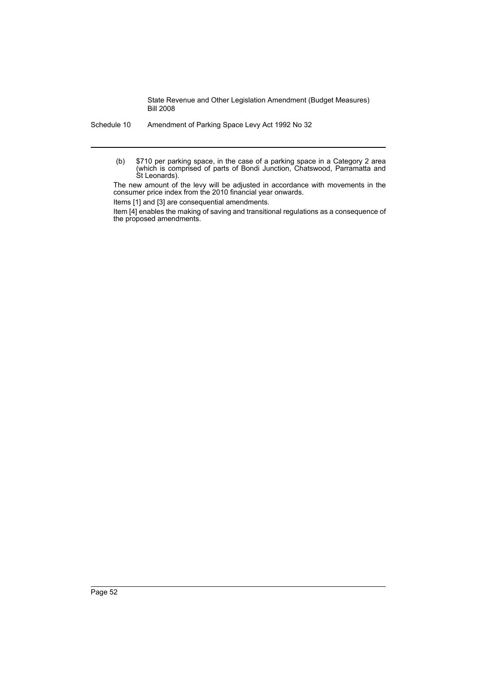Schedule 10 Amendment of Parking Space Levy Act 1992 No 32

(b) \$710 per parking space, in the case of a parking space in a Category 2 area (which is comprised of parts of Bondi Junction, Chatswood, Parramatta and St Leonards).

The new amount of the levy will be adjusted in accordance with movements in the consumer price index from the 2010 financial year onwards.

Items [1] and [3] are consequential amendments.

Item [4] enables the making of saving and transitional regulations as a consequence of the proposed amendments.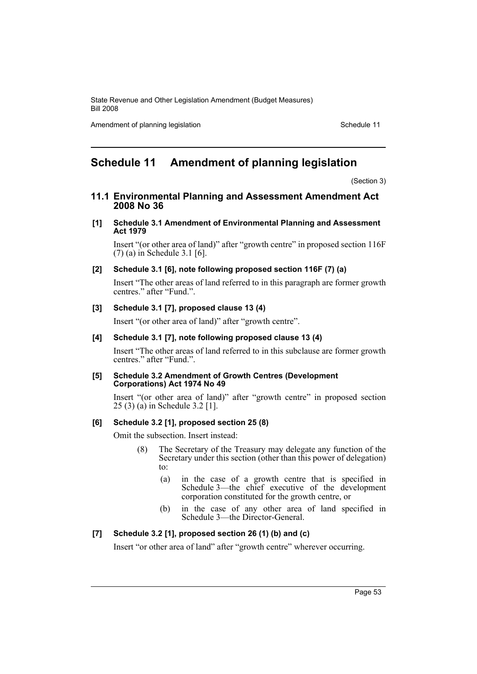Amendment of planning legislation Schedule 11

# **Schedule 11 Amendment of planning legislation**

(Section 3)

**11.1 Environmental Planning and Assessment Amendment Act 2008 No 36**

### **[1] Schedule 3.1 Amendment of Environmental Planning and Assessment Act 1979**

Insert "(or other area of land)" after "growth centre" in proposed section 116F (7) (a) in Schedule 3.1 [6].

## **[2] Schedule 3.1 [6], note following proposed section 116F (7) (a)**

Insert "The other areas of land referred to in this paragraph are former growth centres." after "Fund.".

# **[3] Schedule 3.1 [7], proposed clause 13 (4)**

Insert "(or other area of land)" after "growth centre".

## **[4] Schedule 3.1 [7], note following proposed clause 13 (4)**

Insert "The other areas of land referred to in this subclause are former growth centres." after "Fund.".

#### **[5] Schedule 3.2 Amendment of Growth Centres (Development Corporations) Act 1974 No 49**

Insert "(or other area of land)" after "growth centre" in proposed section 25 (3) (a) in Schedule 3.2 [1].

## **[6] Schedule 3.2 [1], proposed section 25 (8)**

Omit the subsection. Insert instead:

- (8) The Secretary of the Treasury may delegate any function of the Secretary under this section (other than this power of delegation) to:
	- (a) in the case of a growth centre that is specified in Schedule 3—the chief executive of the development corporation constituted for the growth centre, or
	- (b) in the case of any other area of land specified in Schedule 3—the Director-General.

### **[7] Schedule 3.2 [1], proposed section 26 (1) (b) and (c)**

Insert "or other area of land" after "growth centre" wherever occurring.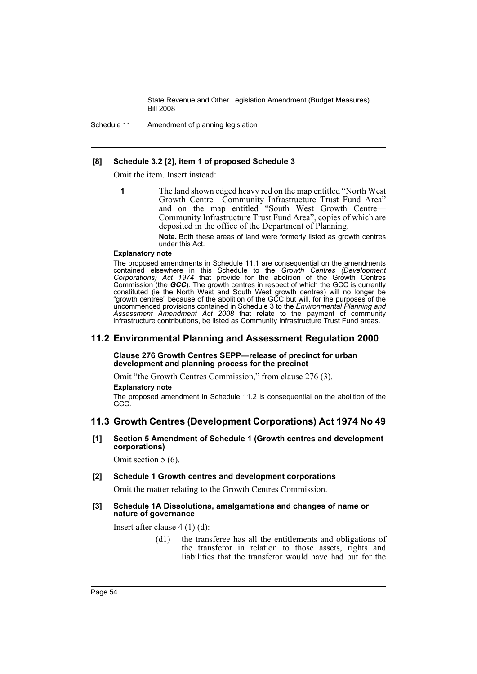Schedule 11 Amendment of planning legislation

### **[8] Schedule 3.2 [2], item 1 of proposed Schedule 3**

Omit the item. Insert instead:

- - **1** The land shown edged heavy red on the map entitled "North West Growth Centre—Community Infrastructure Trust Fund Area" and on the map entitled "South West Growth Centre— Community Infrastructure Trust Fund Area", copies of which are deposited in the office of the Department of Planning.

**Note.** Both these areas of land were formerly listed as growth centres under this Act.

#### **Explanatory note**

The proposed amendments in Schedule 11.1 are consequential on the amendments contained elsewhere in this Schedule to the *Growth Centres (Development Corporations) Act 1974* that provide for the abolition of the Growth Centres Commission (the *GCC*). The growth centres in respect of which the GCC is currently constituted (ie the North West and South West growth centres) will no longer be "growth centres" because of the abolition of the GCC but will, for the purposes of the uncommenced provisions contained in Schedule 3 to the *Environmental Planning and Assessment Amendment Act 2008* that relate to the payment of community infrastructure contributions, be listed as Community Infrastructure Trust Fund areas.

# **11.2 Environmental Planning and Assessment Regulation 2000**

**Clause 276 Growth Centres SEPP—release of precinct for urban development and planning process for the precinct**

Omit "the Growth Centres Commission," from clause 276 (3).

#### **Explanatory note**

The proposed amendment in Schedule 11.2 is consequential on the abolition of the GCC.

# **11.3 Growth Centres (Development Corporations) Act 1974 No 49**

## **[1] Section 5 Amendment of Schedule 1 (Growth centres and development corporations)**

Omit section 5 (6).

### **[2] Schedule 1 Growth centres and development corporations**

Omit the matter relating to the Growth Centres Commission.

#### **[3] Schedule 1A Dissolutions, amalgamations and changes of name or nature of governance**

Insert after clause 4 (1) (d):

(d1) the transferee has all the entitlements and obligations of the transferor in relation to those assets, rights and liabilities that the transferor would have had but for the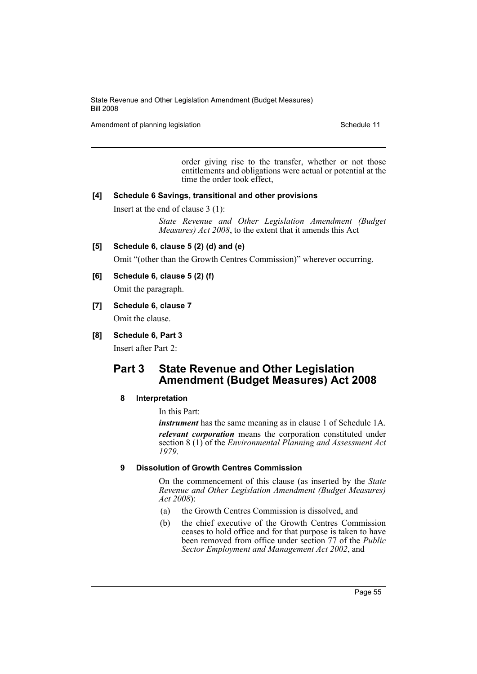Amendment of planning legislation Schedule 11

order giving rise to the transfer, whether or not those entitlements and obligations were actual or potential at the time the order took effect,

## **[4] Schedule 6 Savings, transitional and other provisions**

Insert at the end of clause 3 (1):

*State Revenue and Other Legislation Amendment (Budget Measures) Act 2008*, to the extent that it amends this Act

## **[5] Schedule 6, clause 5 (2) (d) and (e)**

Omit "(other than the Growth Centres Commission)" wherever occurring.

# **[6] Schedule 6, clause 5 (2) (f)**

Omit the paragraph.

# **[7] Schedule 6, clause 7**

Omit the clause.

# **[8] Schedule 6, Part 3**

Insert after Part 2:

# **Part 3 State Revenue and Other Legislation Amendment (Budget Measures) Act 2008**

# **8 Interpretation**

In this Part:

*instrument* has the same meaning as in clause 1 of Schedule 1A. *relevant corporation* means the corporation constituted under section 8 (1) of the *Environmental Planning and Assessment Act 1979*.

# **9 Dissolution of Growth Centres Commission**

On the commencement of this clause (as inserted by the *State Revenue and Other Legislation Amendment (Budget Measures) Act 2008*):

- (a) the Growth Centres Commission is dissolved, and
- (b) the chief executive of the Growth Centres Commission ceases to hold office and for that purpose is taken to have been removed from office under section 77 of the *Public Sector Employment and Management Act 2002*, and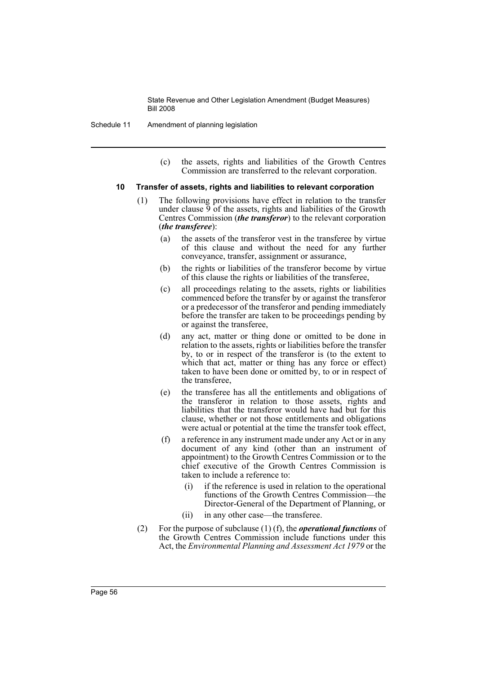- Schedule 11 Amendment of planning legislation
	- (c) the assets, rights and liabilities of the Growth Centres Commission are transferred to the relevant corporation.

#### **10 Transfer of assets, rights and liabilities to relevant corporation**

- (1) The following provisions have effect in relation to the transfer under clause  $\overline{9}$  of the assets, rights and liabilities of the Growth Centres Commission (*the transferor*) to the relevant corporation (*the transferee*):
	- (a) the assets of the transferor vest in the transferee by virtue of this clause and without the need for any further conveyance, transfer, assignment or assurance,
	- (b) the rights or liabilities of the transferor become by virtue of this clause the rights or liabilities of the transferee,
	- (c) all proceedings relating to the assets, rights or liabilities commenced before the transfer by or against the transferor or a predecessor of the transferor and pending immediately before the transfer are taken to be proceedings pending by or against the transferee,
	- (d) any act, matter or thing done or omitted to be done in relation to the assets, rights or liabilities before the transfer by, to or in respect of the transferor is (to the extent to which that act, matter or thing has any force or effect) taken to have been done or omitted by, to or in respect of the transferee,
	- (e) the transferee has all the entitlements and obligations of the transferor in relation to those assets, rights and liabilities that the transferor would have had but for this clause, whether or not those entitlements and obligations were actual or potential at the time the transfer took effect,
	- (f) a reference in any instrument made under any Act or in any document of any kind (other than an instrument of appointment) to the Growth Centres Commission or to the chief executive of the Growth Centres Commission is taken to include a reference to:
		- (i) if the reference is used in relation to the operational functions of the Growth Centres Commission—the Director-General of the Department of Planning, or
		- (ii) in any other case—the transferee.
- (2) For the purpose of subclause (1) (f), the *operational functions* of the Growth Centres Commission include functions under this Act, the *Environmental Planning and Assessment Act 1979* or the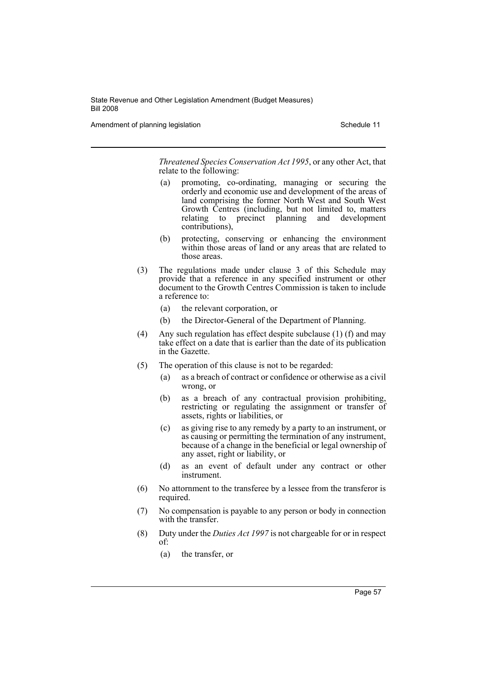Amendment of planning legislation Schedule 11

*Threatened Species Conservation Act 1995*, or any other Act, that relate to the following:

- (a) promoting, co-ordinating, managing or securing the orderly and economic use and development of the areas of land comprising the former North West and South West Growth Centres (including, but not limited to, matters relating to precinct planning and development contributions),
- (b) protecting, conserving or enhancing the environment within those areas of land or any areas that are related to those areas.
- (3) The regulations made under clause 3 of this Schedule may provide that a reference in any specified instrument or other document to the Growth Centres Commission is taken to include a reference to:
	- (a) the relevant corporation, or
	- (b) the Director-General of the Department of Planning.
- (4) Any such regulation has effect despite subclause (1) (f) and may take effect on a date that is earlier than the date of its publication in the Gazette.
- (5) The operation of this clause is not to be regarded:
	- (a) as a breach of contract or confidence or otherwise as a civil wrong, or
	- (b) as a breach of any contractual provision prohibiting, restricting or regulating the assignment or transfer of assets, rights or liabilities, or
	- (c) as giving rise to any remedy by a party to an instrument, or as causing or permitting the termination of any instrument, because of a change in the beneficial or legal ownership of any asset, right or liability, or
	- (d) as an event of default under any contract or other instrument.
- (6) No attornment to the transferee by a lessee from the transferor is required.
- (7) No compensation is payable to any person or body in connection with the transfer.
- (8) Duty under the *Duties Act 1997* is not chargeable for or in respect of:
	- (a) the transfer, or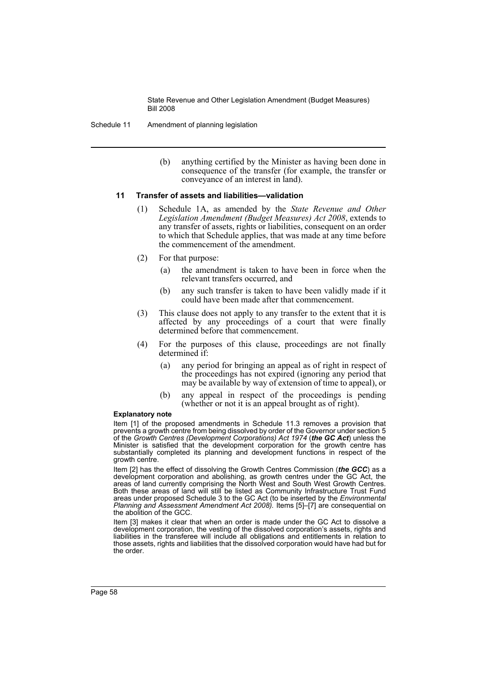- Schedule 11 Amendment of planning legislation
	- (b) anything certified by the Minister as having been done in consequence of the transfer (for example, the transfer or conveyance of an interest in land).

### **11 Transfer of assets and liabilities—validation**

- (1) Schedule 1A, as amended by the *State Revenue and Other Legislation Amendment (Budget Measures) Act 2008*, extends to any transfer of assets, rights or liabilities, consequent on an order to which that Schedule applies, that was made at any time before the commencement of the amendment.
- (2) For that purpose:
	- (a) the amendment is taken to have been in force when the relevant transfers occurred, and
	- (b) any such transfer is taken to have been validly made if it could have been made after that commencement.
- (3) This clause does not apply to any transfer to the extent that it is affected by any proceedings of a court that were finally determined before that commencement.
- (4) For the purposes of this clause, proceedings are not finally determined if:
	- (a) any period for bringing an appeal as of right in respect of the proceedings has not expired (ignoring any period that may be available by way of extension of time to appeal), or
	- (b) any appeal in respect of the proceedings is pending (whether or not it is an appeal brought as of right).

#### **Explanatory note**

Item [1] of the proposed amendments in Schedule 11.3 removes a provision that prevents a growth centre from being dissolved by order of the Governor under section 5 of the *Growth Centres (Development Corporations) Act 1974* (*the GC Act*) unless the Minister is satisfied that the development corporation for the growth centre has substantially completed its planning and development functions in respect of the growth centre.

Item [2] has the effect of dissolving the Growth Centres Commission (*the GCC*) as a development corporation and abolishing, as growth centres under the GC Act, the areas of land currently comprising the North West and South West Growth Centres. Both these areas of land will still be listed as Community Infrastructure Trust Fund areas under proposed Schedule 3 to the GC Act (to be inserted by the *Environmental Planning and Assessment Amendment Act 2008).* Items [5]–[7] are consequential on the abolition of the GCC.

Item [3] makes it clear that when an order is made under the GC Act to dissolve a development corporation, the vesting of the dissolved corporation's assets, rights and liabilities in the transferee will include all obligations and entitlements in relation to those assets, rights and liabilities that the dissolved corporation would have had but for the order.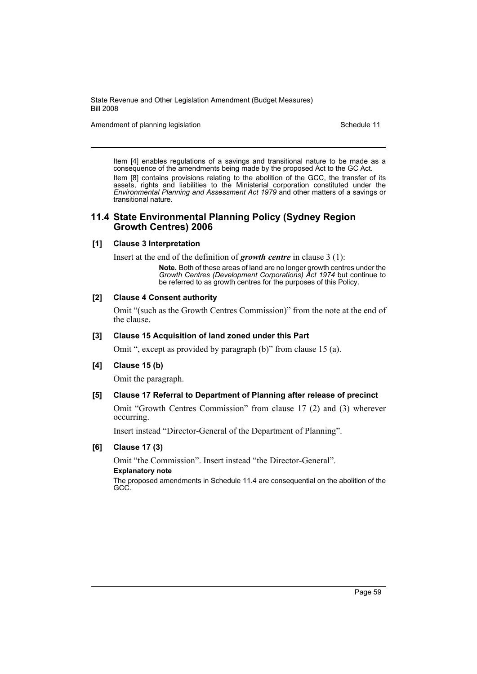Amendment of planning legislation Schedule 11

Item [4] enables regulations of a savings and transitional nature to be made as a consequence of the amendments being made by the proposed Act to the GC Act. Item [8] contains provisions relating to the abolition of the GCC, the transfer of its assets, rights and liabilities to the Ministerial corporation constituted under the *Environmental Planning and Assessment Act 1979* and other matters of a savings or transitional nature.

# **11.4 State Environmental Planning Policy (Sydney Region Growth Centres) 2006**

### **[1] Clause 3 Interpretation**

Insert at the end of the definition of *growth centre* in clause 3 (1):

**Note.** Both of these areas of land are no longer growth centres under the *Growth Centres (Development Corporations) Act 1974* but continue to be referred to as growth centres for the purposes of this Policy.

### **[2] Clause 4 Consent authority**

Omit "(such as the Growth Centres Commission)" from the note at the end of the clause.

### **[3] Clause 15 Acquisition of land zoned under this Part**

Omit ", except as provided by paragraph (b)" from clause 15 (a).

## **[4] Clause 15 (b)**

Omit the paragraph.

#### **[5] Clause 17 Referral to Department of Planning after release of precinct**

Omit "Growth Centres Commission" from clause 17 (2) and (3) wherever occurring.

Insert instead "Director-General of the Department of Planning".

## **[6] Clause 17 (3)**

Omit "the Commission". Insert instead "the Director-General". **Explanatory note** The proposed amendments in Schedule 11.4 are consequential on the abolition of the GCC.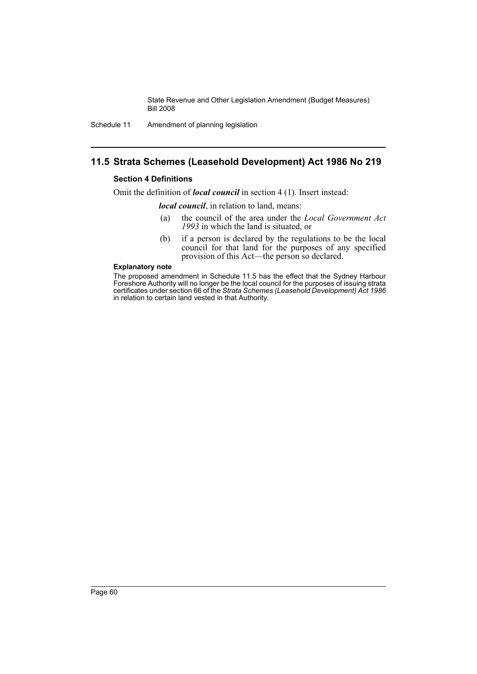Schedule 11 Amendment of planning legislation

# **11.5 Strata Schemes (Leasehold Development) Act 1986 No 219**

## **Section 4 Definitions**

Omit the definition of *local council* in section 4 (1). Insert instead:

*local council*, in relation to land, means:

- (a) the council of the area under the *Local Government Act 1993* in which the land is situated, or
- (b) if a person is declared by the regulations to be the local council for that land for the purposes of any specified provision of this Act—the person so declared.

#### **Explanatory note**

The proposed amendment in Schedule 11.5 has the effect that the Sydney Harbour Foreshore Authority will no longer be the local council for the purposes of issuing strata certificates under section 66 of the *Strata Schemes (Leasehold Development) Act 1986* in relation to certain land vested in that Authority.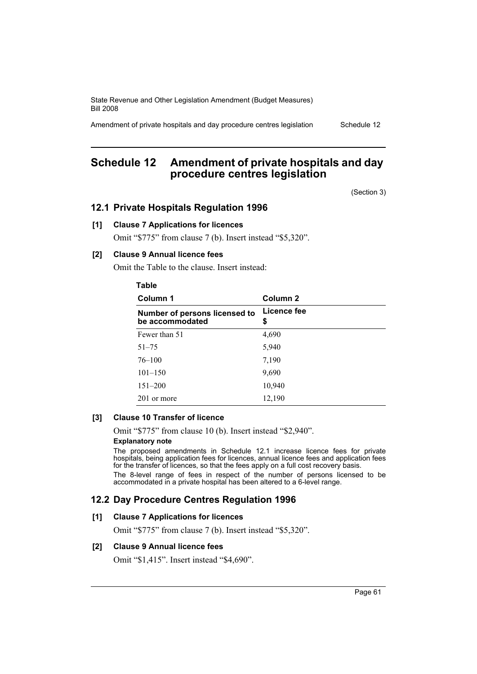Amendment of private hospitals and day procedure centres legislation Schedule 12

# **Schedule 12 Amendment of private hospitals and day procedure centres legislation**

(Section 3)

# **12.1 Private Hospitals Regulation 1996**

# **[1] Clause 7 Applications for licences**

Omit "\$775" from clause 7 (b). Insert instead "\$5,320".

# **[2] Clause 9 Annual licence fees**

Omit the Table to the clause. Insert instead:

# **Table**

| Column 1                                         | Column 2          |  |
|--------------------------------------------------|-------------------|--|
| Number of persons licensed to<br>be accommodated | Licence fee<br>\$ |  |
| Fewer than 51                                    | 4,690             |  |
| $51 - 75$                                        | 5,940             |  |
| $76 - 100$                                       | 7,190             |  |
| $101 - 150$                                      | 9,690             |  |
| $151 - 200$                                      | 10,940            |  |
| 201 or more                                      | 12,190            |  |

# **[3] Clause 10 Transfer of licence**

Omit "\$775" from clause 10 (b). Insert instead "\$2,940". **Explanatory note**

The proposed amendments in Schedule 12.1 increase licence fees for private hospitals, being application fees for licences, annual licence fees and application fees for the transfer of licences, so that the fees apply on a full cost recovery basis. The 8-level range of fees in respect of the number of persons licensed to be accommodated in a private hospital has been altered to a 6-level range.

# **12.2 Day Procedure Centres Regulation 1996**

#### **[1] Clause 7 Applications for licences**

Omit "\$775" from clause 7 (b). Insert instead "\$5,320".

#### **[2] Clause 9 Annual licence fees**

Omit "\$1,415". Insert instead "\$4,690".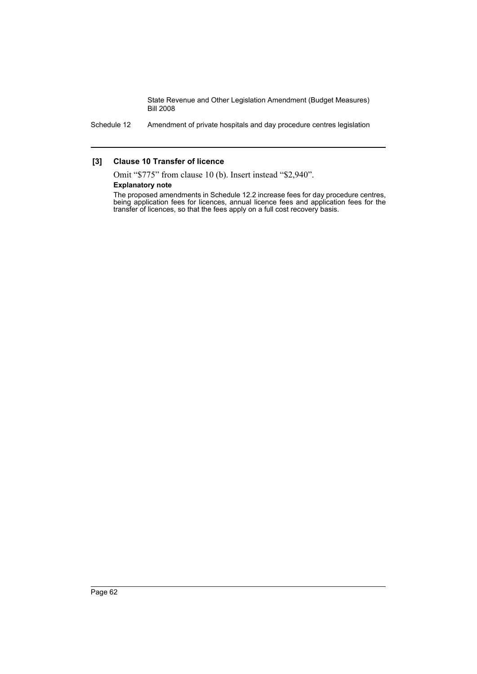Schedule 12 Amendment of private hospitals and day procedure centres legislation

## **[3] Clause 10 Transfer of licence**

Omit "\$775" from clause 10 (b). Insert instead "\$2,940".

### **Explanatory note**

The proposed amendments in Schedule 12.2 increase fees for day procedure centres, being application fees for licences, annual licence fees and application fees for the transfer of licences, so that the fees apply on a full cost recovery basis.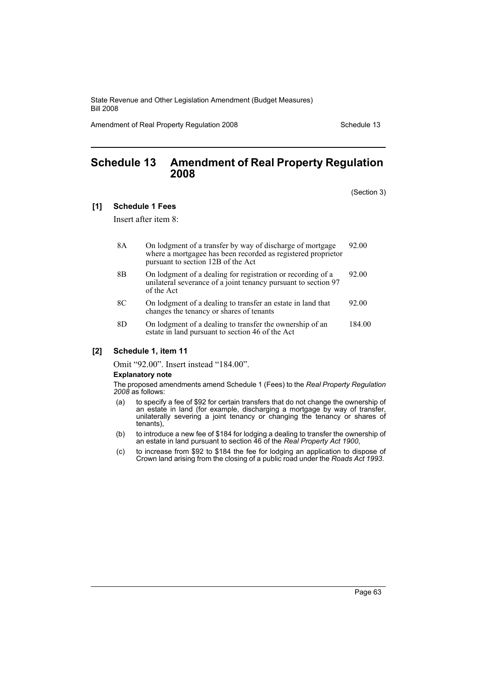Amendment of Real Property Regulation 2008 Schedule 13

# **Schedule 13 Amendment of Real Property Regulation 2008**

(Section 3)

#### **[1] Schedule 1 Fees**

Insert after item 8:

- 8A On lodgment of a transfer by way of discharge of mortgage where a mortgagee has been recorded as registered proprietor pursuant to section 12B of the Act 92.00
- 8B On lodgment of a dealing for registration or recording of a unilateral severance of a joint tenancy pursuant to section 97 of the Act 92.00
- 8C On lodgment of a dealing to transfer an estate in land that changes the tenancy or shares of tenants 92.00
- 8D On lodgment of a dealing to transfer the ownership of an estate in land pursuant to section 46 of the Act 184.00

### **[2] Schedule 1, item 11**

Omit "92.00". Insert instead "184.00".

#### **Explanatory note**

The proposed amendments amend Schedule 1 (Fees) to the *Real Property Regulation 2008* as follows:

- (a) to specify a fee of \$92 for certain transfers that do not change the ownership of an estate in land (for example, discharging a mortgage by way of transfer, unilaterally severing a joint tenancy or changing the tenancy or shares of tenants),
- (b) to introduce a new fee of \$184 for lodging a dealing to transfer the ownership of an estate in land pursuant to section 46 of the *Real Property Act 1900*,
- (c) to increase from \$92 to \$184 the fee for lodging an application to dispose of Crown land arising from the closing of a public road under the *Roads Act 1993*.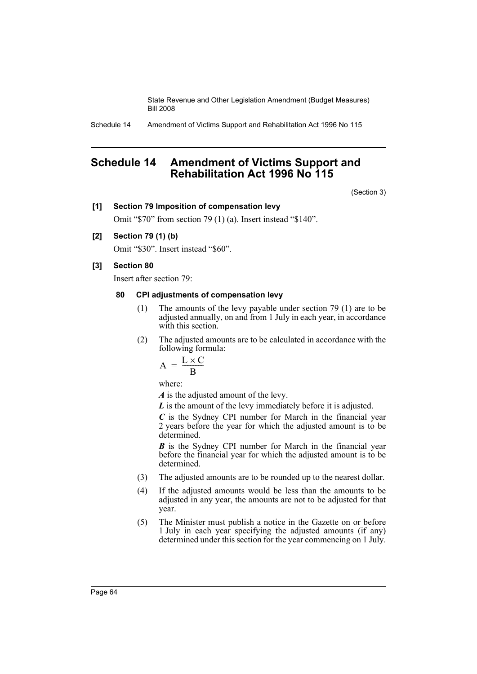Schedule 14 Amendment of Victims Support and Rehabilitation Act 1996 No 115

# **Schedule 14 Amendment of Victims Support and Rehabilitation Act 1996 No 115**

(Section 3)

## **[1] Section 79 Imposition of compensation levy**

Omit "\$70" from section 79 (1) (a). Insert instead "\$140".

# **[2] Section 79 (1) (b)**

Omit "\$30". Insert instead "\$60".

## **[3] Section 80**

Insert after section 79:

# **80 CPI adjustments of compensation levy**

- (1) The amounts of the levy payable under section 79 (1) are to be adjusted annually, on and from 1 July in each year, in accordance with this section.
- (2) The adjusted amounts are to be calculated in accordance with the following formula:

$$
A = \frac{L \times C}{B}
$$

where:

*A* is the adjusted amount of the levy.

*L* is the amount of the levy immediately before it is adjusted.

*C* is the Sydney CPI number for March in the financial year 2 years before the year for which the adjusted amount is to be determined.

*B* is the Sydney CPI number for March in the financial year before the financial year for which the adjusted amount is to be determined.

- (3) The adjusted amounts are to be rounded up to the nearest dollar.
- (4) If the adjusted amounts would be less than the amounts to be adjusted in any year, the amounts are not to be adjusted for that year.
- (5) The Minister must publish a notice in the Gazette on or before 1 July in each year specifying the adjusted amounts (if any) determined under this section for the year commencing on 1 July.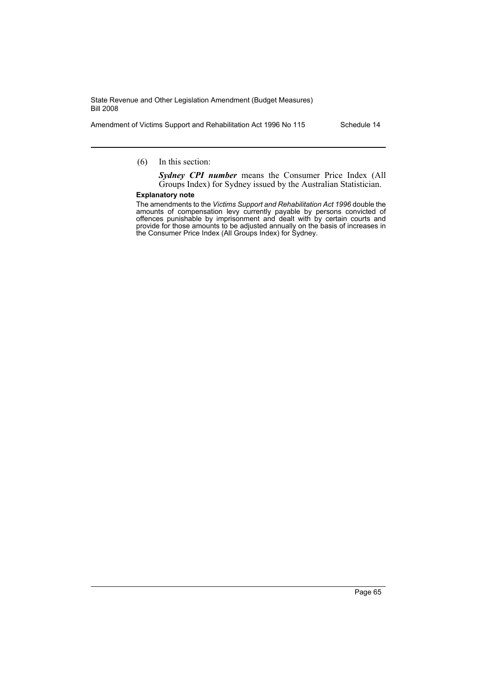Amendment of Victims Support and Rehabilitation Act 1996 No 115 Schedule 14

## (6) In this section:

*Sydney CPI number* means the Consumer Price Index (All Groups Index) for Sydney issued by the Australian Statistician.

#### **Explanatory note**

The amendments to the *Victims Support and Rehabilitation Act 1996* double the amounts of compensation levy currently payable by persons convicted of offences punishable by imprisonment and dealt with by certain courts and provide for those amounts to be adjusted annually on the basis of increases in the Consumer Price Index (All Groups Index) for Sydney.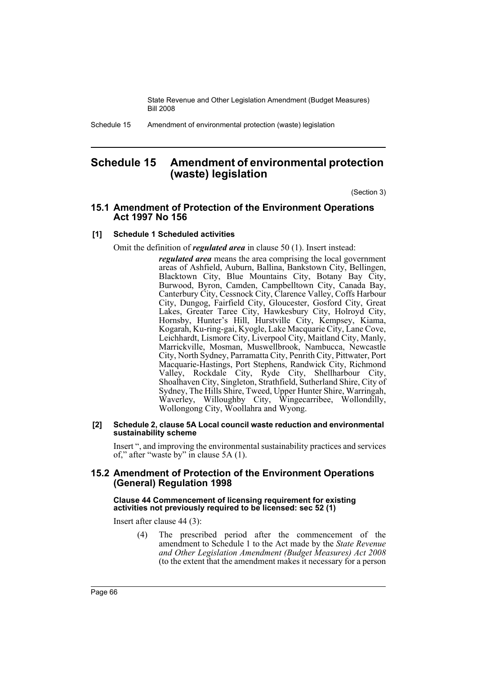Schedule 15 Amendment of environmental protection (waste) legislation

# **Schedule 15 Amendment of environmental protection (waste) legislation**

(Section 3)

# **15.1 Amendment of Protection of the Environment Operations Act 1997 No 156**

# **[1] Schedule 1 Scheduled activities**

Omit the definition of *regulated area* in clause 50 (1). Insert instead:

*regulated area* means the area comprising the local government areas of Ashfield, Auburn, Ballina, Bankstown City, Bellingen, Blacktown City, Blue Mountains City, Botany Bay City, Burwood, Byron, Camden, Campbelltown City, Canada Bay, Canterbury City, Cessnock City, Clarence Valley, Coffs Harbour City, Dungog, Fairfield City, Gloucester, Gosford City, Great Lakes, Greater Taree City, Hawkesbury City, Holroyd City, Hornsby, Hunter's Hill, Hurstville City, Kempsey, Kiama, Kogarah, Ku-ring-gai, Kyogle, Lake Macquarie City, Lane Cove, Leichhardt, Lismore City, Liverpool City, Maitland City, Manly, Marrickville, Mosman, Muswellbrook, Nambucca, Newcastle City, North Sydney, Parramatta City, Penrith City, Pittwater, Port Macquarie-Hastings, Port Stephens, Randwick City, Richmond Valley, Rockdale City, Ryde City, Shellharbour City, Shoalhaven City, Singleton, Strathfield, Sutherland Shire, City of Sydney, The Hills Shire, Tweed, Upper Hunter Shire, Warringah, Waverley, Willoughby City, Wingecarribee, Wollondilly, Wollongong City, Woollahra and Wyong.

### **[2] Schedule 2, clause 5A Local council waste reduction and environmental sustainability scheme**

Insert ", and improving the environmental sustainability practices and services of," after "waste by" in clause 5A (1).

# **15.2 Amendment of Protection of the Environment Operations (General) Regulation 1998**

### **Clause 44 Commencement of licensing requirement for existing activities not previously required to be licensed: sec 52 (1)**

Insert after clause 44 (3):

(4) The prescribed period after the commencement of the amendment to Schedule 1 to the Act made by the *State Revenue and Other Legislation Amendment (Budget Measures) Act 2008* (to the extent that the amendment makes it necessary for a person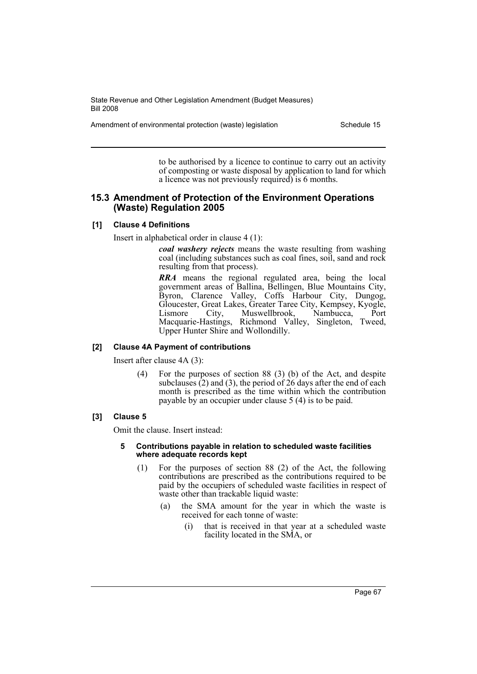Amendment of environmental protection (waste) legislation Schedule 15

to be authorised by a licence to continue to carry out an activity of composting or waste disposal by application to land for which a licence was not previously required) is 6 months.

# **15.3 Amendment of Protection of the Environment Operations (Waste) Regulation 2005**

### **[1] Clause 4 Definitions**

Insert in alphabetical order in clause 4 (1):

*coal washery rejects* means the waste resulting from washing coal (including substances such as coal fines, soil, sand and rock resulting from that process).

*RRA* means the regional regulated area, being the local government areas of Ballina, Bellingen, Blue Mountains City, Byron, Clarence Valley, Coffs Harbour City, Dungog, Gloucester, Great Lakes, Greater Taree City, Kempsey, Kyogle, Lismore City, Muswellbrook, Nambucca, Port Macquarie-Hastings, Richmond Valley, Singleton, Tweed, Upper Hunter Shire and Wollondilly.

### **[2] Clause 4A Payment of contributions**

Insert after clause 4A (3):

(4) For the purposes of section 88 (3) (b) of the Act, and despite subclauses  $(2)$  and  $(3)$ , the period of  $26$  days after the end of each month is prescribed as the time within which the contribution payable by an occupier under clause 5 (4) is to be paid.

#### **[3] Clause 5**

Omit the clause. Insert instead:

#### **5 Contributions payable in relation to scheduled waste facilities where adequate records kept**

- (1) For the purposes of section 88 (2) of the Act, the following contributions are prescribed as the contributions required to be paid by the occupiers of scheduled waste facilities in respect of waste other than trackable liquid waste:
	- (a) the SMA amount for the year in which the waste is received for each tonne of waste:
		- (i) that is received in that year at a scheduled waste facility located in the SMA, or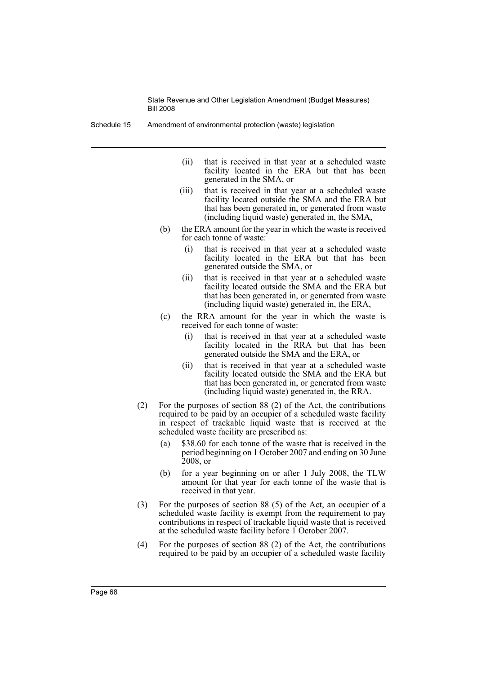Schedule 15 Amendment of environmental protection (waste) legislation

- (ii) that is received in that year at a scheduled waste facility located in the ERA but that has been generated in the SMA, or
- (iii) that is received in that year at a scheduled waste facility located outside the SMA and the ERA but that has been generated in, or generated from waste (including liquid waste) generated in, the SMA,
- (b) the ERA amount for the year in which the waste is received for each tonne of waste:
	- (i) that is received in that year at a scheduled waste facility located in the ERA but that has been generated outside the SMA, or
	- (ii) that is received in that year at a scheduled waste facility located outside the SMA and the ERA but that has been generated in, or generated from waste (including liquid waste) generated in, the ERA,
- (c) the RRA amount for the year in which the waste is received for each tonne of waste:
	- (i) that is received in that year at a scheduled waste facility located in the RRA but that has been generated outside the SMA and the ERA, or
	- (ii) that is received in that year at a scheduled waste facility located outside the SMA and the ERA but that has been generated in, or generated from waste (including liquid waste) generated in, the RRA.
- (2) For the purposes of section 88 (2) of the Act, the contributions required to be paid by an occupier of a scheduled waste facility in respect of trackable liquid waste that is received at the scheduled waste facility are prescribed as:
	- (a) \$38.60 for each tonne of the waste that is received in the period beginning on 1 October 2007 and ending on 30 June 2008, or
	- (b) for a year beginning on or after 1 July 2008, the TLW amount for that year for each tonne of the waste that is received in that year.
- (3) For the purposes of section 88 (5) of the Act, an occupier of a scheduled waste facility is exempt from the requirement to pay contributions in respect of trackable liquid waste that is received at the scheduled waste facility before 1 October 2007.
- (4) For the purposes of section 88 (2) of the Act, the contributions required to be paid by an occupier of a scheduled waste facility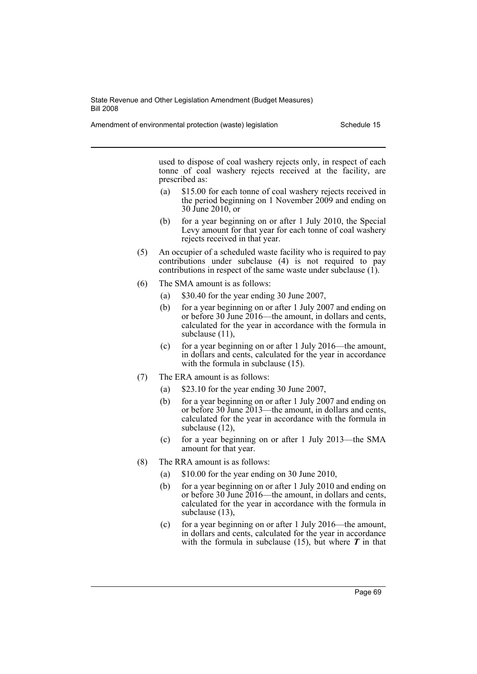Amendment of environmental protection (waste) legislation Schedule 15

used to dispose of coal washery rejects only, in respect of each tonne of coal washery rejects received at the facility, are prescribed as:

- (a) \$15.00 for each tonne of coal washery rejects received in the period beginning on 1 November 2009 and ending on 30 June 2010, or
- (b) for a year beginning on or after 1 July 2010, the Special Levy amount for that year for each tonne of coal washery rejects received in that year.
- (5) An occupier of a scheduled waste facility who is required to pay contributions under subclause (4) is not required to pay contributions in respect of the same waste under subclause (1).
- (6) The SMA amount is as follows:
	- (a) \$30.40 for the year ending 30 June 2007,
	- (b) for a year beginning on or after 1 July 2007 and ending on or before 30 June 2016—the amount, in dollars and cents, calculated for the year in accordance with the formula in subclause  $(11)$ ,
	- (c) for a year beginning on or after 1 July 2016—the amount, in dollars and cents, calculated for the year in accordance with the formula in subclause  $(15)$ .
- (7) The ERA amount is as follows:
	- (a) \$23.10 for the year ending 30 June 2007,
	- (b) for a year beginning on or after 1 July 2007 and ending on or before 30 June 2013—the amount, in dollars and cents, calculated for the year in accordance with the formula in subclause (12),
	- (c) for a year beginning on or after 1 July 2013—the SMA amount for that year.
- (8) The RRA amount is as follows:
	- (a) \$10.00 for the year ending on 30 June 2010,
	- (b) for a year beginning on or after 1 July 2010 and ending on or before 30 June 2016—the amount, in dollars and cents, calculated for the year in accordance with the formula in subclause (13),
	- (c) for a year beginning on or after 1 July 2016—the amount, in dollars and cents, calculated for the year in accordance with the formula in subclause  $(15)$ , but where  $\boldsymbol{T}$  in that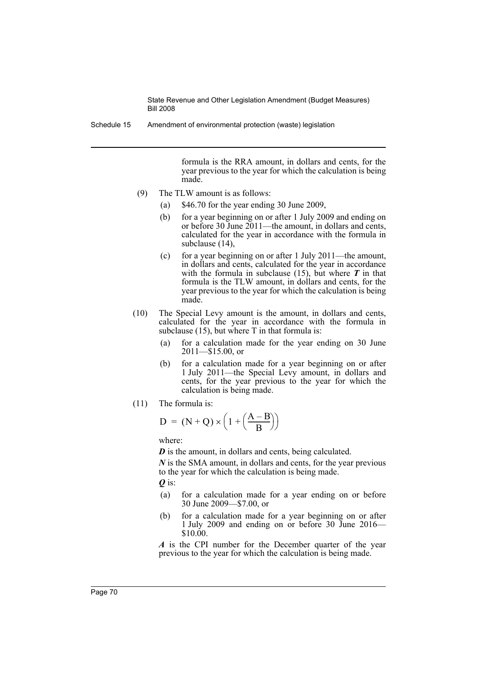Schedule 15 Amendment of environmental protection (waste) legislation

formula is the RRA amount, in dollars and cents, for the year previous to the year for which the calculation is being made.

- (9) The TLW amount is as follows:
	- (a) \$46.70 for the year ending 30 June 2009,
	- (b) for a year beginning on or after 1 July 2009 and ending on or before 30 June 2011—the amount, in dollars and cents, calculated for the year in accordance with the formula in subclause (14),
	- (c) for a year beginning on or after 1 July 2011—the amount, in dollars and cents, calculated for the year in accordance with the formula in subclause  $(15)$ , but where  $\boldsymbol{T}$  in that formula is the TLW amount, in dollars and cents, for the year previous to the year for which the calculation is being made.
- (10) The Special Levy amount is the amount, in dollars and cents, calculated for the year in accordance with the formula in subclause  $(15)$ , but where T in that formula is:
	- (a) for a calculation made for the year ending on 30 June 2011—\$15.00, or
	- (b) for a calculation made for a year beginning on or after 1 July 2011—the Special Levy amount, in dollars and cents, for the year previous to the year for which the calculation is being made.
- (11) The formula is:

$$
D = (N + Q) \times \left(1 + \left(\frac{A - B}{B}\right)\right)
$$

where:

*D* is the amount, in dollars and cents, being calculated.

*N* is the SMA amount, in dollars and cents, for the year previous to the year for which the calculation is being made.

*Q* is:

- (a) for a calculation made for a year ending on or before 30 June 2009—\$7.00, or
- (b) for a calculation made for a year beginning on or after 1 July 2009 and ending on or before 30 June 2016—  $$10.00$

*A* is the CPI number for the December quarter of the year previous to the year for which the calculation is being made.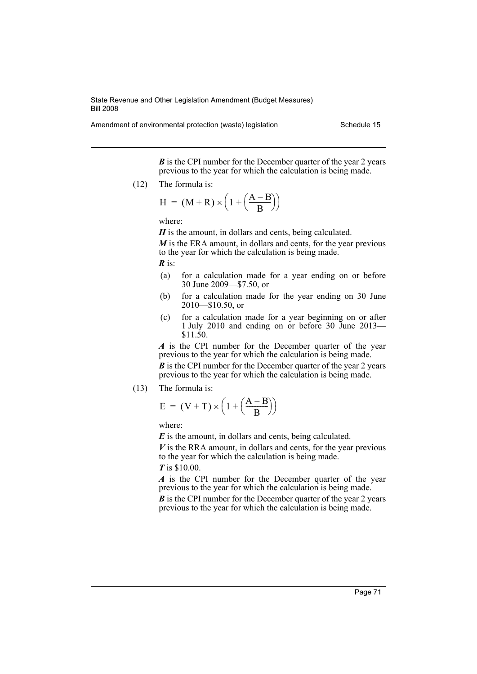Amendment of environmental protection (waste) legislation Schedule 15

*B* is the CPI number for the December quarter of the year 2 years previous to the year for which the calculation is being made.

(12) The formula is:

$$
H = (M+R) \times \left(1 + \left(\frac{A-B}{B}\right)\right)
$$

where:

*H* is the amount, in dollars and cents, being calculated.

*M* is the ERA amount, in dollars and cents, for the year previous to the year for which the calculation is being made.

*R* is:

- (a) for a calculation made for a year ending on or before 30 June 2009—\$7.50, or
- (b) for a calculation made for the year ending on 30 June 2010—\$10.50, or
- (c) for a calculation made for a year beginning on or after 1 July 2010 and ending on or before 30 June 2013— \$11.50.

*A* is the CPI number for the December quarter of the year previous to the year for which the calculation is being made.

*B* is the CPI number for the December quarter of the year 2 years previous to the year for which the calculation is being made.

(13) The formula is:

$$
E = (V + T) \times \left(1 + \left(\frac{A - B}{B}\right)\right)
$$

where:

*E* is the amount, in dollars and cents, being calculated.

*V* is the RRA amount, in dollars and cents, for the year previous to the year for which the calculation is being made.

*T* is \$10.00.

*A* is the CPI number for the December quarter of the year previous to the year for which the calculation is being made.

*B* is the CPI number for the December quarter of the year 2 years previous to the year for which the calculation is being made.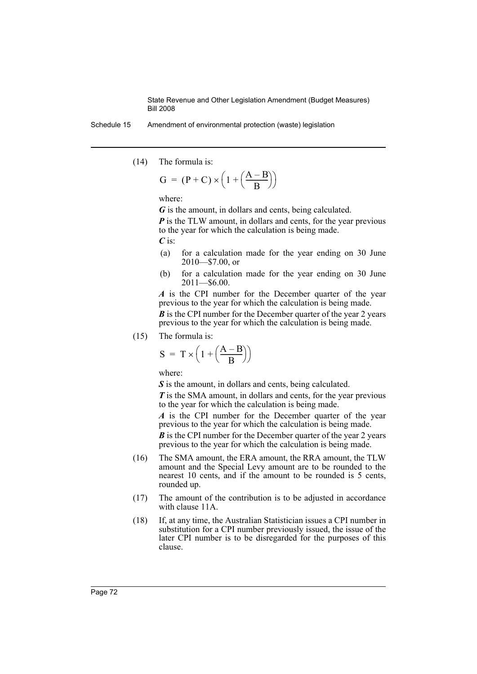Schedule 15 Amendment of environmental protection (waste) legislation

(14) The formula is:

$$
G = (P + C) \times \left(1 + \left(\frac{A - B}{B}\right)\right)
$$

where:

*G* is the amount, in dollars and cents, being calculated.

*P* is the TLW amount, in dollars and cents, for the year previous to the year for which the calculation is being made.

*C* is:

- (a) for a calculation made for the year ending on 30 June 2010—\$7.00, or
- (b) for a calculation made for the year ending on 30 June 2011—\$6.00.

*A* is the CPI number for the December quarter of the year previous to the year for which the calculation is being made.

*B* is the CPI number for the December quarter of the year 2 years previous to the year for which the calculation is being made.

(15) The formula is:

$$
S = T \times \left(1 + \left(\frac{A - B}{B}\right)\right)
$$

where:

*S* is the amount, in dollars and cents, being calculated.

*T* is the SMA amount, in dollars and cents, for the year previous to the year for which the calculation is being made.

*A* is the CPI number for the December quarter of the year previous to the year for which the calculation is being made.

*B* is the CPI number for the December quarter of the year 2 years previous to the year for which the calculation is being made.

- (16) The SMA amount, the ERA amount, the RRA amount, the TLW amount and the Special Levy amount are to be rounded to the nearest 10 cents, and if the amount to be rounded is 5 cents, rounded up.
- (17) The amount of the contribution is to be adjusted in accordance with clause 11A.
- (18) If, at any time, the Australian Statistician issues a CPI number in substitution for a CPI number previously issued, the issue of the later CPI number is to be disregarded for the purposes of this clause.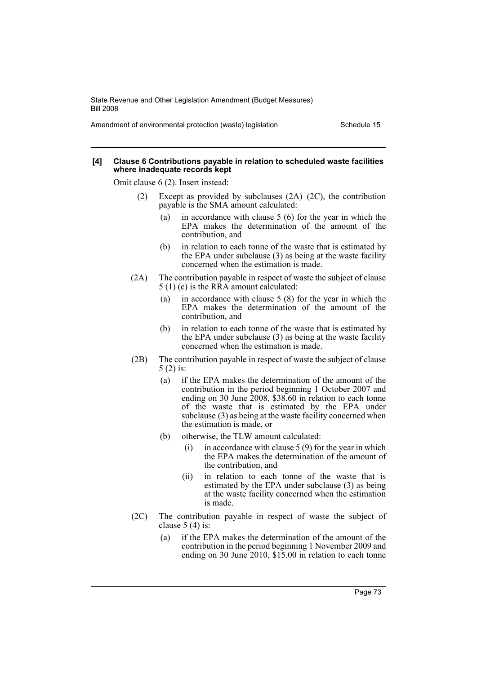Amendment of environmental protection (waste) legislation Schedule 15

#### **[4] Clause 6 Contributions payable in relation to scheduled waste facilities where inadequate records kept**

Omit clause 6 (2). Insert instead:

- (2) Except as provided by subclauses (2A)–(2C), the contribution payable is the SMA amount calculated:
	- (a) in accordance with clause 5 (6) for the year in which the EPA makes the determination of the amount of the contribution, and
	- (b) in relation to each tonne of the waste that is estimated by the EPA under subclause (3) as being at the waste facility concerned when the estimation is made.
- (2A) The contribution payable in respect of waste the subject of clause 5 (1) (c) is the RRA amount calculated:
	- (a) in accordance with clause 5 (8) for the year in which the EPA makes the determination of the amount of the contribution, and
	- (b) in relation to each tonne of the waste that is estimated by the EPA under subclause (3) as being at the waste facility concerned when the estimation is made.
- (2B) The contribution payable in respect of waste the subject of clause 5 (2) is:
	- (a) if the EPA makes the determination of the amount of the contribution in the period beginning 1 October 2007 and ending on 30 June 2008, \$38.60 in relation to each tonne of the waste that is estimated by the EPA under subclause (3) as being at the waste facility concerned when the estimation is made, or
	- (b) otherwise, the TLW amount calculated:
		- (i) in accordance with clause  $5(9)$  for the year in which the EPA makes the determination of the amount of the contribution, and
		- (ii) in relation to each tonne of the waste that is estimated by the EPA under subclause (3) as being at the waste facility concerned when the estimation is made.
- (2C) The contribution payable in respect of waste the subject of clause  $5(4)$  is:
	- (a) if the EPA makes the determination of the amount of the contribution in the period beginning 1 November 2009 and ending on 30 June 2010, \$15.00 in relation to each tonne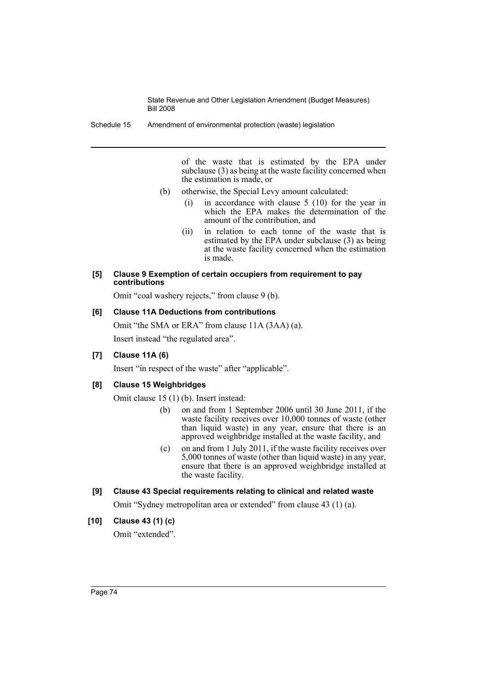Schedule 15 Amendment of environmental protection (waste) legislation

of the waste that is estimated by the EPA under subclause (3) as being at the waste facility concerned when the estimation is made, or

- (b) otherwise, the Special Levy amount calculated:
	- (i) in accordance with clause 5 (10) for the year in which the EPA makes the determination of the amount of the contribution, and
	- (ii) in relation to each tonne of the waste that is estimated by the EPA under subclause (3) as being at the waste facility concerned when the estimation is made.

### **[5] Clause 9 Exemption of certain occupiers from requirement to pay contributions**

Omit "coal washery rejects," from clause 9 (b).

# **[6] Clause 11A Deductions from contributions**

Omit "the SMA or ERA" from clause 11A (3AA) (a). Insert instead "the regulated area".

# **[7] Clause 11A (6)**

Insert "in respect of the waste" after "applicable".

# **[8] Clause 15 Weighbridges**

Omit clause 15 (1) (b). Insert instead:

- (b) on and from 1 September 2006 until 30 June 2011, if the waste facility receives over 10,000 tonnes of waste (other than liquid waste) in any year, ensure that there is an approved weighbridge installed at the waste facility, and
- (c) on and from 1 July 2011, if the waste facility receives over 5,000 tonnes of waste (other than liquid waste) in any year, ensure that there is an approved weighbridge installed at the waste facility.

# **[9] Clause 43 Special requirements relating to clinical and related waste**

Omit "Sydney metropolitan area or extended" from clause 43 (1) (a).

# **[10] Clause 43 (1) (c)**

Omit "extended".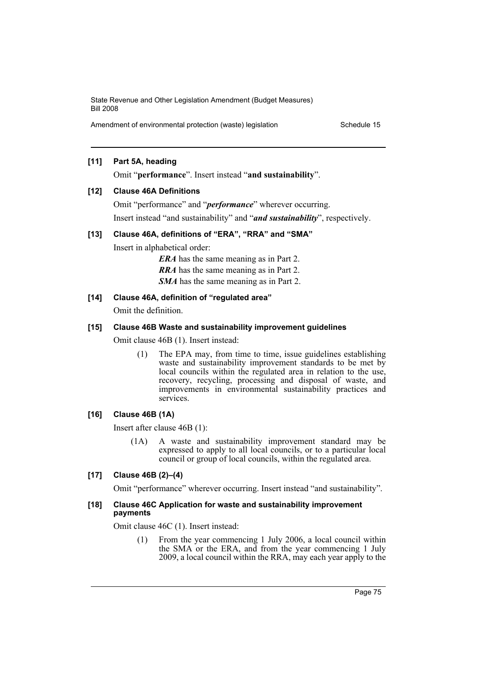Amendment of environmental protection (waste) legislation Schedule 15

# **[11] Part 5A, heading**

Omit "**performance**". Insert instead "**and sustainability**".

### **[12] Clause 46A Definitions**

Omit "performance" and "*performance*" wherever occurring. Insert instead "and sustainability" and "*and sustainability*", respectively.

### **[13] Clause 46A, definitions of "ERA", "RRA" and "SMA"**

Insert in alphabetical order:

*ERA* has the same meaning as in Part 2.

*RRA* has the same meaning as in Part 2.

*SMA* has the same meaning as in Part 2.

### **[14] Clause 46A, definition of "regulated area"**

Omit the definition.

# **[15] Clause 46B Waste and sustainability improvement guidelines**

Omit clause 46B (1). Insert instead:

(1) The EPA may, from time to time, issue guidelines establishing waste and sustainability improvement standards to be met by local councils within the regulated area in relation to the use, recovery, recycling, processing and disposal of waste, and improvements in environmental sustainability practices and services.

### **[16] Clause 46B (1A)**

Insert after clause 46B (1):

(1A) A waste and sustainability improvement standard may be expressed to apply to all local councils, or to a particular local council or group of local councils, within the regulated area.

# **[17] Clause 46B (2)–(4)**

Omit "performance" wherever occurring. Insert instead "and sustainability".

#### **[18] Clause 46C Application for waste and sustainability improvement payments**

Omit clause 46C (1). Insert instead:

(1) From the year commencing 1 July 2006, a local council within the SMA or the ERA, and from the year commencing 1 July 2009, a local council within the RRA, may each year apply to the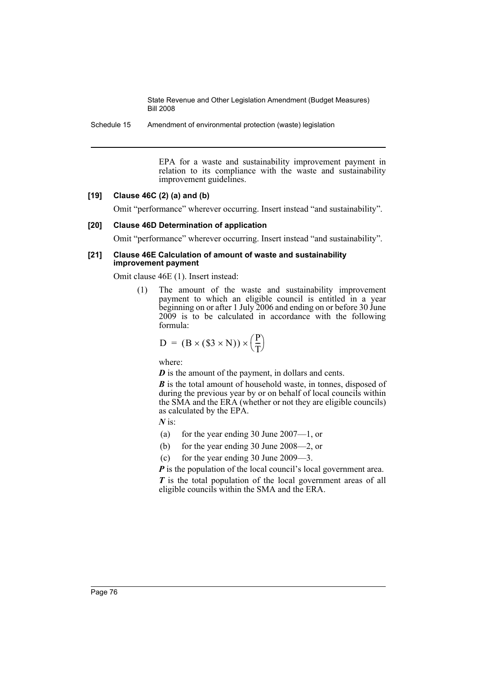Schedule 15 Amendment of environmental protection (waste) legislation

EPA for a waste and sustainability improvement payment in relation to its compliance with the waste and sustainability improvement guidelines.

# **[19] Clause 46C (2) (a) and (b)**

Omit "performance" wherever occurring. Insert instead "and sustainability".

### **[20] Clause 46D Determination of application**

Omit "performance" wherever occurring. Insert instead "and sustainability".

#### **[21] Clause 46E Calculation of amount of waste and sustainability improvement payment**

Omit clause 46E (1). Insert instead:

(1) The amount of the waste and sustainability improvement payment to which an eligible council is entitled in a year beginning on or after 1 July 2006 and ending on or before 30 June 2009 is to be calculated in accordance with the following formula:

$$
D = (B \times (\$3 \times N)) \times \left(\frac{P}{T}\right)
$$

where:

*D* is the amount of the payment, in dollars and cents.

*B* is the total amount of household waste, in tonnes, disposed of during the previous year by or on behalf of local councils within the SMA and the ERA (whether or not they are eligible councils) as calculated by the EPA.

*N* is:

- (a) for the year ending 30 June 2007—1, or
- (b) for the year ending 30 June 2008—2, or
- (c) for the year ending 30 June 2009—3.

*P* is the population of the local council's local government area.

*T* is the total population of the local government areas of all eligible councils within the SMA and the ERA.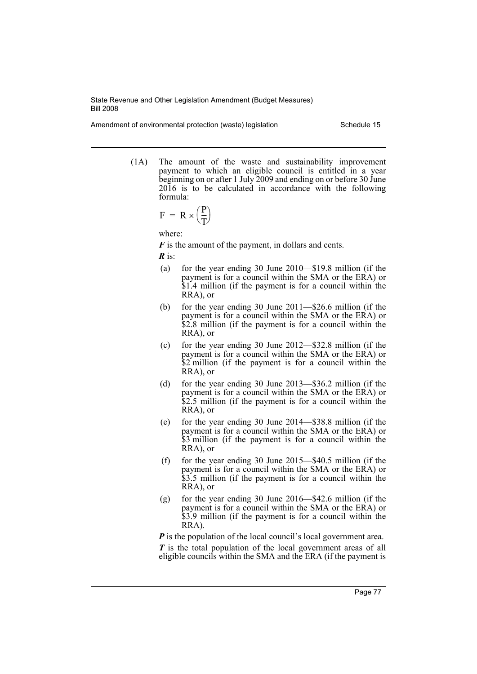Amendment of environmental protection (waste) legislation Schedule 15

(1A) The amount of the waste and sustainability improvement payment to which an eligible council is entitled in a year beginning on or after 1 July 2009 and ending on or before 30 June 2016 is to be calculated in accordance with the following formula:

$$
F = R \times \left(\frac{P}{T}\right)
$$

where:

*F* is the amount of the payment, in dollars and cents.

*R* is:

- (a) for the year ending 30 June 2010—\$19.8 million (if the payment is for a council within the SMA or the ERA) or \$1.4 million (if the payment is for a council within the RRA), or
- (b) for the year ending 30 June 2011—\$26.6 million (if the payment is for a council within the SMA or the ERA) or \$2.8 million (if the payment is for a council within the RRA), or
- (c) for the year ending 30 June 2012—\$32.8 million (if the payment is for a council within the SMA or the ERA) or \$2 million (if the payment is for a council within the RRA), or
- (d) for the year ending 30 June 2013—\$36.2 million (if the payment is for a council within the SMA or the ERA) or \$2.5 million (if the payment is for a council within the RRA), or
- (e) for the year ending 30 June 2014—\$38.8 million (if the payment is for a council within the SMA or the ERA) or \$3 million (if the payment is for a council within the RRA), or
- (f) for the year ending 30 June 2015—\$40.5 million (if the payment is for a council within the SMA or the ERA) or \$3.5 million (if the payment is for a council within the RRA), or
- (g) for the year ending 30 June 2016—\$42.6 million (if the payment is for a council within the SMA or the ERA) or \$3.9 million (if the payment is for a council within the RRA).

*P* is the population of the local council's local government area. *T* is the total population of the local government areas of all eligible councils within the SMA and the ERA (if the payment is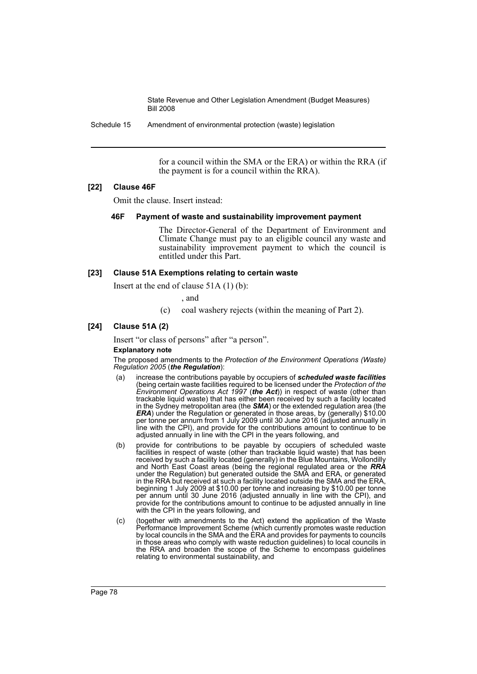Schedule 15 Amendment of environmental protection (waste) legislation

for a council within the SMA or the ERA) or within the RRA (if the payment is for a council within the RRA).

### **[22] Clause 46F**

Omit the clause. Insert instead:

### **46F Payment of waste and sustainability improvement payment**

The Director-General of the Department of Environment and Climate Change must pay to an eligible council any waste and sustainability improvement payment to which the council is entitled under this Part.

### **[23] Clause 51A Exemptions relating to certain waste**

Insert at the end of clause 51A (1) (b):

, and

(c) coal washery rejects (within the meaning of Part 2).

### **[24] Clause 51A (2)**

Insert "or class of persons" after "a person".

### **Explanatory note**

The proposed amendments to the *Protection of the Environment Operations (Waste) Regulation 2005* (*the Regulation*):

- (a) increase the contributions payable by occupiers of *scheduled waste facilities* (being certain waste facilities required to be licensed under the *Protection of the Environment Operations Act 1997* (*the Act*)) in respect of waste (other than trackable liquid waste) that has either been received by such a facility located in the Sydney metropolitan area (the *SMA*) or the extended regulation area (the *ERA*) under the Regulation or generated in those areas, by (generally) \$10.00 per tonne per annum from 1 July 2009 until 30 June 2016 (adjusted annually in line with the CPI), and provide for the contributions amount to continue to be adjusted annually in line with the CPI in the years following, and
- (b) provide for contributions to be payable by occupiers of scheduled waste facilities in respect of waste (other than trackable liquid waste) that has been received by such a facility located (generally) in the Blue Mountains, Wollondilly and North East Coast areas (being the regional regulated area or the *RRA* under the Regulation) but generated outside the SMA and ERA, or generated in the RRA but received at such a facility located outside the SMA and the ERA, beginning 1 July 2009 at \$10.00 per tonne and increasing by \$10.00 per tonne per annum until 30 June 2016 (adjusted annually in line with the CPI), and provide for the contributions amount to continue to be adjusted annually in line with the CPI in the years following, and
- (c) (together with amendments to the Act) extend the application of the Waste Performance Improvement Scheme (which currently promotes waste reduction by local councils in the SMA and the ERA and provides for payments to councils in those areas who comply with waste reduction guidelines) to local councils in the RRA and broaden the scope of the Scheme to encompass guidelines relating to environmental sustainability, and